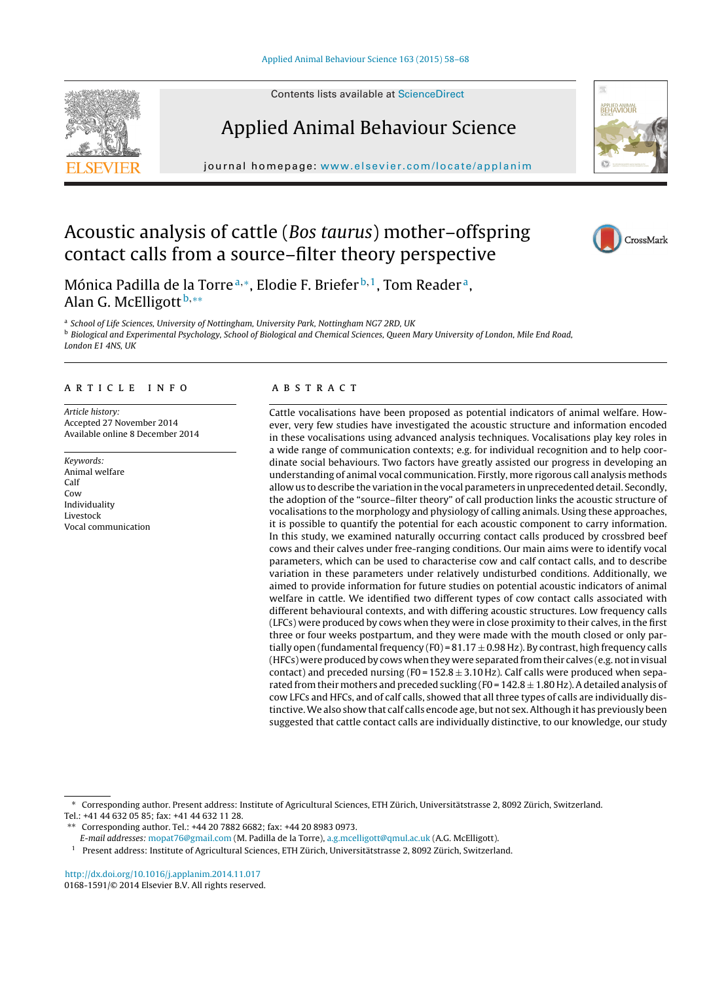Contents lists available at [ScienceDirect](http://www.sciencedirect.com/science/journal/01681591)



Applied Animal Behaviour Science

journal homepage: [www.elsevier.com/locate/applanim](http://www.elsevier.com/locate/applanim)



# Acoustic analysis of cattle (Bos taurus) mother–offspring contact calls from a source–filter theory perspective



Mónica Padilla de la Torre<sup>a,∗</sup>, Elodie F. Briefer<sup>b,1</sup>, Tom Reader<sup>a</sup>, Alan G. McElligott<sup>b,\*\*</sup>

a School of Life Sciences, University of Nottingham, University Park, Nottingham NG7 2RD, UK **b Biological and Experimental Psychology, School of Biological and Chemical Sciences, Queen Mary University of London, Mile End Road,** London E1 4NS, UK

## a r t i c l e i n f o

Article history: Accepted 27 November 2014 Available online 8 December 2014

Keywords: Animal welfare Calf Cow Individuality Livestock Vocal communication

# a b s t r a c t

Cattle vocalisations have been proposed as potential indicators of animal welfare. However, very few studies have investigated the acoustic structure and information encoded in these vocalisations using advanced analysis techniques. Vocalisations play key roles in a wide range of communication contexts; e.g. for individual recognition and to help coordinate social behaviours. Two factors have greatly assisted our progress in developing an understanding of animal vocal communication. Firstly, more rigorous call analysis methods allow us to describe the variation in the vocal parameters in unprecedented detail. Secondly, the adoption of the "source–filter theory" of call production links the acoustic structure of vocalisations to the morphology and physiology of calling animals. Using these approaches, it is possible to quantify the potential for each acoustic component to carry information. In this study, we examined naturally occurring contact calls produced by crossbred beef cows and their calves under free-ranging conditions. Our main aims were to identify vocal parameters, which can be used to characterise cow and calf contact calls, and to describe variation in these parameters under relatively undisturbed conditions. Additionally, we aimed to provide information for future studies on potential acoustic indicators of animal welfare in cattle. We identified two different types of cow contact calls associated with different behavioural contexts, and with differing acoustic structures. Low frequency calls (LFCs) were produced by cows when they were in close proximity to their calves, in the first three or four weeks postpartum, and they were made with the mouth closed or only partially open (fundamental frequency (F0) =  $81.17 \pm 0.98$  Hz). By contrast, high frequency calls (HFCs) were produced by cows when they were separated from their calves (e.g. not in visual contact) and preceded nursing (F0 =  $152.8 \pm 3.10$  Hz). Calf calls were produced when separated from their mothers and preceded suckling (F0 =  $142.8 \pm 1.80$  Hz). A detailed analysis of cow LFCs and HFCs, and of calf calls, showed that all three types of calls are individually distinctive.We also show that calf calls encode age, but not sex.Although it has previously been suggested that cattle contact calls are individually distinctive, to our knowledge, our study

∗ Corresponding author. Present address: Institute of Agricultural Sciences, ETH Zürich, Universitätstrasse 2, 8092 Zürich, Switzerland.

Tel.: +41 44 632 05 85; fax: +41 44 632 11 28.

E-mail addresses: [mopat76@gmail.com](mailto:mopat76@gmail.com) (M. Padilla de la Torre), [a.g.mcelligott@qmul.ac.uk](mailto:a.g.mcelligott@qmul.ac.uk) (A.G. McElligott).

<sup>1</sup> Present address: Institute of Agricultural Sciences, ETH Zürich, Universitätstrasse 2, 8092 Zürich, Switzerland.

[http://dx.doi.org/10.1016/j.applanim.2014.11.017](dx.doi.org/10.1016/j.applanim.2014.11.017) 0168-1591/© 2014 Elsevier B.V. All rights reserved.

<sup>∗∗</sup> Corresponding author. Tel.: +44 20 7882 6682; fax: +44 20 8983 0973.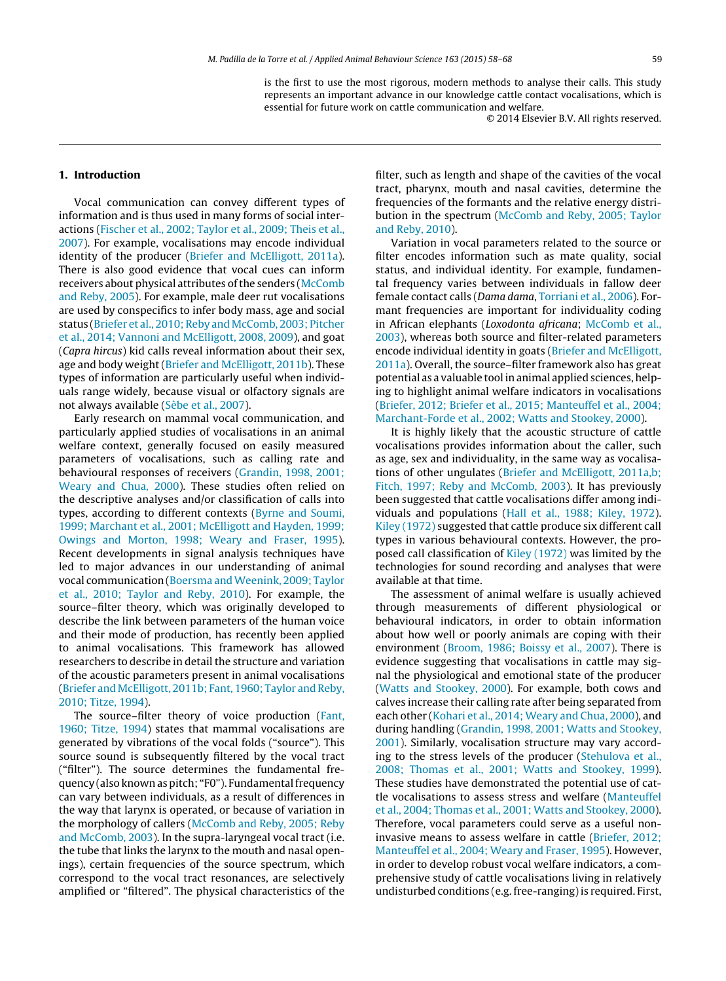is the first to use the most rigorous, modern methods to analyse their calls. This study represents an important advance in our knowledge cattle contact vocalisations, which is essential for future work on cattle communication and welfare.

© 2014 Elsevier B.V. All rights reserved.

# **1. Introduction**

Vocal communication can convey different types of information and is thus used in many forms of social interactions [\(Fischer](#page-9-0) et [al.,](#page-9-0) [2002;](#page-9-0) [Taylor](#page-9-0) et [al.,](#page-9-0) [2009;](#page-9-0) [Theis](#page-9-0) et [al.,](#page-9-0) [2007\).](#page-9-0) For example, vocalisations may encode individual identity of the producer [\(Briefer](#page-9-0) [and](#page-9-0) [McElligott,](#page-9-0) [2011a\).](#page-9-0) There is also good evidence that vocal cues can inform receivers about physical attributes of the senders [\(McComb](#page-9-0) [and](#page-9-0) [Reby,](#page-9-0) [2005\).](#page-9-0) For example, male deer rut vocalisations are used by conspecifics to infer body mass, age and social status [\(Briefer](#page-9-0) et [al.,](#page-9-0) 2010; Reby and McComb, [2003;](#page-9-0) [Pitcher](#page-9-0) et [al.,](#page-9-0) [2014;](#page-9-0) [Vannoni](#page-9-0) [and](#page-9-0) [McElligott,](#page-9-0) [2008,](#page-9-0) [2009\),](#page-9-0) and goat (Capra hircus) kid calls reveal information about their sex, age and body weight [\(Briefer](#page-9-0) [and](#page-9-0) [McElligott,](#page-9-0) [2011b\).](#page-9-0) These types of information are particularly useful when individuals range widely, because visual or olfactory signals are not always available [\(Sèbe](#page-9-0) et [al.,](#page-9-0) [2007\).](#page-9-0)

Early research on mammal vocal communication, and particularly applied studies of vocalisations in an animal welfare context, generally focused on easily measured parameters of vocalisations, such as calling rate and behavioural responses of receivers [\(Grandin,](#page-9-0) [1998,](#page-9-0) [2001;](#page-9-0) [Weary](#page-9-0) [and](#page-9-0) [Chua,](#page-9-0) [2000\).](#page-9-0) These studies often relied on the descriptive analyses and/or classification of calls into types, according to different contexts [\(Byrne](#page-9-0) [and](#page-9-0) [Soumi,](#page-9-0) [1999;](#page-9-0) [Marchant](#page-9-0) et [al.,](#page-9-0) [2001;](#page-9-0) [McElligott](#page-9-0) [and](#page-9-0) [Hayden,](#page-9-0) [1999;](#page-9-0) [Owings](#page-9-0) [and](#page-9-0) [Morton,](#page-9-0) [1998;](#page-9-0) [Weary](#page-9-0) [and](#page-9-0) [Fraser,](#page-9-0) [1995\).](#page-9-0) Recent developments in signal analysis techniques have led to major advances in our understanding of animal vocal communication ([Boersma](#page-9-0) [andWeenink,](#page-9-0) [2009;](#page-9-0) [Taylor](#page-9-0) et [al.,](#page-9-0) [2010;](#page-9-0) [Taylor](#page-9-0) [and](#page-9-0) [Reby,](#page-9-0) [2010\).](#page-9-0) For example, the source–filter theory, which was originally developed to describe the link between parameters of the human voice and their mode of production, has recently been applied to animal vocalisations. This framework has allowed researchers to describe in detail the structure and variation of the acoustic parameters present in animal vocalisations [\(Briefer](#page-9-0) [and](#page-9-0) [McElligott,](#page-9-0) [2011b;](#page-9-0) [Fant,](#page-9-0) [1960;](#page-9-0) [Taylor](#page-9-0) [and](#page-9-0) [Reby,](#page-9-0) [2010;](#page-9-0) [Titze,](#page-9-0) [1994\).](#page-9-0)

The source–filter theory of voice production ([Fant,](#page-9-0) [1960;](#page-9-0) [Titze,](#page-9-0) [1994\)](#page-9-0) states that mammal vocalisations are generated by vibrations of the vocal folds ("source"). This source sound is subsequently filtered by the vocal tract ("filter"). The source determines the fundamental frequency (also known as pitch; "F0"). Fundamental frequency can vary between individuals, as a result of differences in the way that larynx is operated, or because of variation in the morphology of callers ([McComb](#page-9-0) [and](#page-9-0) [Reby,](#page-9-0) [2005;](#page-9-0) [Reby](#page-9-0) [and](#page-9-0) [McComb,](#page-9-0) [2003\).](#page-9-0) In the supra-laryngeal vocal tract (i.e. the tube that links the larynx to the mouth and nasal openings), certain frequencies of the source spectrum, which correspond to the vocal tract resonances, are selectively amplified or "filtered". The physical characteristics of the

filter, such as length and shape of the cavities of the vocal tract, pharynx, mouth and nasal cavities, determine the frequencies of the formants and the relative energy distribution in the spectrum [\(McComb](#page-9-0) [and](#page-9-0) [Reby,](#page-9-0) [2005;](#page-9-0) [Taylor](#page-9-0) [and](#page-9-0) [Reby,](#page-9-0) [2010\).](#page-9-0)

Variation in vocal parameters related to the source or filter encodes information such as mate quality, social status, and individual identity. For example, fundamental frequency varies between individuals in fallow deer female contact calls (Dama dama, [Torriani](#page-10-0) et [al.,](#page-10-0) [2006\).](#page-10-0) Formant frequencies are important for individuality coding in African elephants (Loxodonta africana; [McComb](#page-9-0) et [al.,](#page-9-0) [2003\),](#page-9-0) whereas both source and filter-related parameters encode individual identity in goats [\(Briefer](#page-9-0) [and](#page-9-0) [McElligott,](#page-9-0) [2011a\).](#page-9-0) Overall, the source–filter framework also has great potential as a valuable tool in animal applied sciences, helping to highlight animal welfare indicators in vocalisations [\(Briefer,](#page-9-0) [2012;](#page-9-0) [Briefer](#page-9-0) et [al.,](#page-9-0) [2015;](#page-9-0) [Manteuffel](#page-9-0) et [al.,](#page-9-0) [2004;](#page-9-0) [Marchant-Forde](#page-9-0) et [al.,](#page-9-0) [2002;](#page-9-0) [Watts](#page-9-0) [and](#page-9-0) [Stookey,](#page-9-0) [2000\).](#page-9-0)

It is highly likely that the acoustic structure of cattle vocalisations provides information about the caller, such as age, sex and individuality, in the same way as vocalisations of other ungulates ([Briefer](#page-9-0) [and](#page-9-0) [McElligott,](#page-9-0) [2011a,b;](#page-9-0) [Fitch,](#page-9-0) [1997;](#page-9-0) [Reby](#page-9-0) [and](#page-9-0) [McComb,](#page-9-0) [2003\).](#page-9-0) It has previously been suggested that cattle vocalisations differ among individuals and populations [\(Hall](#page-9-0) et [al.,](#page-9-0) [1988;](#page-9-0) [Kiley,](#page-9-0) [1972\).](#page-9-0) [Kiley](#page-9-0) [\(1972\)](#page-9-0) suggested that cattle produce six different call types in various behavioural contexts. However, the proposed call classification of [Kiley](#page-9-0) [\(1972\)](#page-9-0) was limited by the technologies for sound recording and analyses that were available at that time.

The assessment of animal welfare is usually achieved through measurements of different physiological or behavioural indicators, in order to obtain information about how well or poorly animals are coping with their environment ([Broom,](#page-9-0) [1986;](#page-9-0) [Boissy](#page-9-0) et [al.,](#page-9-0) [2007\).](#page-9-0) There is evidence suggesting that vocalisations in cattle may signal the physiological and emotional state of the producer [\(Watts](#page-10-0) [and](#page-10-0) [Stookey,](#page-10-0) [2000\).](#page-10-0) For example, both cows and calves increase their calling rate after being separated from each other [\(Kohari](#page-9-0) et [al.,](#page-9-0) [2014;](#page-9-0) [Weary](#page-9-0) [and](#page-9-0) [Chua,](#page-9-0) [2000\),](#page-9-0) and during handling [\(Grandin,](#page-9-0) [1998,](#page-9-0) [2001;](#page-9-0) [Watts](#page-9-0) [and](#page-9-0) [Stookey,](#page-9-0) [2001\).](#page-9-0) Similarly, vocalisation structure may vary according to the stress levels of the producer [\(Stehulova](#page-9-0) et [al.,](#page-9-0) [2008;](#page-9-0) [Thomas](#page-9-0) et [al.,](#page-9-0) [2001;](#page-9-0) [Watts](#page-9-0) [and](#page-9-0) [Stookey,](#page-9-0) [1999\).](#page-9-0) These studies have demonstrated the potential use of cattle vocalisations to assess stress and welfare [\(Manteuffel](#page-9-0) et [al.,](#page-9-0) [2004;](#page-9-0) [Thomas](#page-9-0) et [al.,](#page-9-0) [2001;](#page-9-0) [Watts](#page-9-0) [and](#page-9-0) [Stookey,](#page-9-0) [2000\).](#page-9-0) Therefore, vocal parameters could serve as a useful noninvasive means to assess welfare in cattle ([Briefer,](#page-9-0) [2012;](#page-9-0) [Manteuffel](#page-9-0) et [al.,](#page-9-0) [2004;](#page-9-0) [Weary](#page-9-0) [and](#page-9-0) [Fraser,](#page-9-0) [1995\).](#page-9-0) However, in order to develop robust vocal welfare indicators, a comprehensive study of cattle vocalisations living in relatively undisturbed conditions (e.g. free-ranging) is required. First,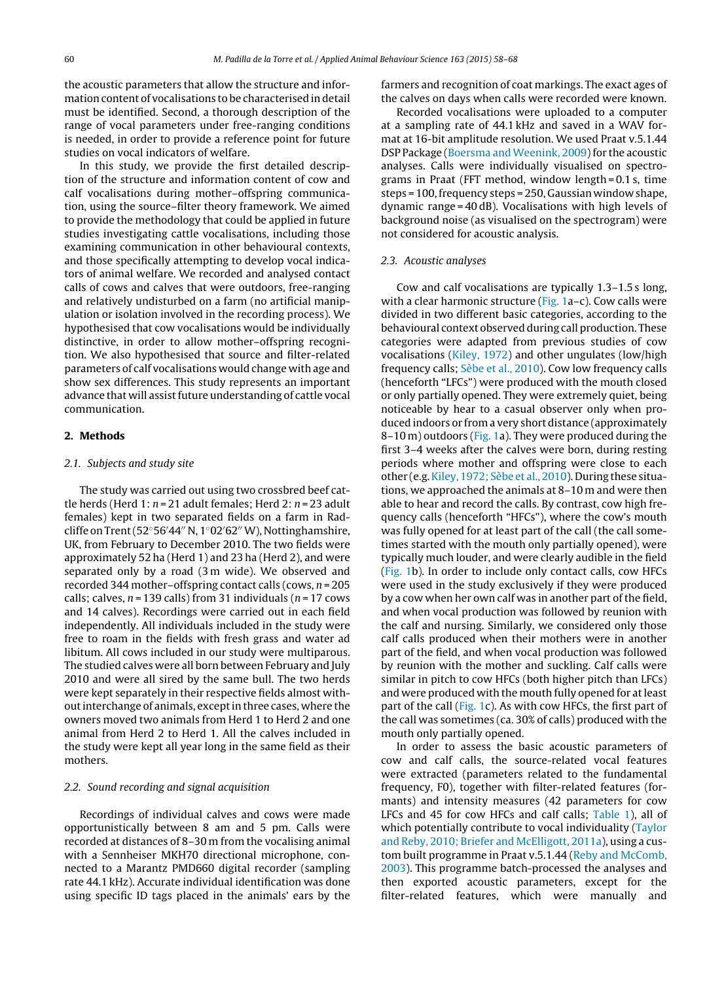the acoustic parameters that allow the structure and information content of vocalisations to be characterised in detail must be identified. Second, a thorough description of the range of vocal parameters under free-ranging conditions is needed, in order to provide a reference point for future studies on vocal indicators of welfare.

In this study, we provide the first detailed description of the structure and information content of cow and calf vocalisations during mother–offspring communication, using the source–filter theory framework. We aimed to provide the methodology that could be applied in future studies investigating cattle vocalisations, including those examining communication in other behavioural contexts, and those specifically attempting to develop vocal indicators of animal welfare. We recorded and analysed contact calls of cows and calves that were outdoors, free-ranging and relatively undisturbed on a farm (no artificial manipulation or isolation involved in the recording process). We hypothesised that cow vocalisations would be individually distinctive, in order to allow mother–offspring recognition. We also hypothesised that source and filter-related parameters of calf vocalisations would change with age and show sex differences. This study represents an important advance that will assist future understanding of cattle vocal communication.

#### **2. Methods**

#### 2.1. Subjects and study site

The study was carried out using two crossbred beef cattle herds (Herd 1:  $n = 21$  adult females; Herd 2:  $n = 23$  adult females) kept in two separated fields on a farm in Radcliffe on Trent (52°56′44″ N, 1°02′62″ W), Nottinghamshire, UK, from February to December 2010. The two fields were approximately 52 ha (Herd 1) and 23 ha (Herd 2), and were separated only by a road (3 m wide). We observed and recorded 344 mother-offspring contact calls (cows,  $n = 205$ calls; calves,  $n = 139$  calls) from 31 individuals ( $n = 17$  cows and 14 calves). Recordings were carried out in each field independently. All individuals included in the study were free to roam in the fields with fresh grass and water ad libitum. All cows included in our study were multiparous. The studied calves were all born between February and July 2010 and were all sired by the same bull. The two herds were kept separately in their respective fields almost withoutinterchange of animals, exceptin three cases, where the owners moved two animals from Herd 1 to Herd 2 and one animal from Herd 2 to Herd 1. All the calves included in the study were kept all year long in the same field as their mothers.

## 2.2. Sound recording and signal acquisition

Recordings of individual calves and cows were made opportunistically between 8 am and 5 pm. Calls were recorded at distances of 8–30 m from the vocalising animal with a Sennheiser MKH70 directional microphone, connected to a Marantz PMD660 digital recorder (sampling rate 44.1 kHz). Accurate individual identification was done using specific ID tags placed in the animals' ears by the

farmers and recognition of coat markings. The exact ages of the calves on days when calls were recorded were known.

Recorded vocalisations were uploaded to a computer at a sampling rate of 44.1 kHz and saved in a WAV format at 16-bit amplitude resolution. We used Praat v.5.1.44 DSP Package [\(Boersma](#page-9-0) [and](#page-9-0) [Weenink,](#page-9-0) [2009\)](#page-9-0) for the acoustic analyses. Calls were individually visualised on spectrograms in Praat (FFT method, window length = 0.1 s, time  $steps = 100$ , frequency steps  $= 250$ , Gaussian window shape, dynamic range = 40 dB). Vocalisations with high levels of background noise (as visualised on the spectrogram) were not considered for acoustic analysis.

#### 2.3. Acoustic analyses

Cow and calf vocalisations are typically 1.3–1.5 s long, with a clear harmonic structure ( $Fig. 1a-c$  $Fig. 1a-c$ ). Cow calls were divided in two different basic categories, according to the behavioural context observed during call production. These categories were adapted from previous studies of cow vocalisations [\(Kiley,](#page-9-0) [1972\)](#page-9-0) and other ungulates (low/high frequency calls; [Sèbe](#page-9-0) et [al.,](#page-9-0) [2010\).](#page-9-0) Cow low frequency calls (henceforth "LFCs") were produced with the mouth closed or only partially opened. They were extremely quiet, being noticeable by hear to a casual observer only when produced indoors or from a very short distance (approximately 8–10 m) outdoors [\(Fig.](#page-3-0) 1a). They were produced during the first 3–4 weeks after the calves were born, during resting periods where mother and offspring were close to each other (e.g.[Kiley,](#page-9-0) [1972;](#page-9-0) [Sèbe](#page-9-0) et [al.,](#page-9-0) [2010\).](#page-9-0) During these situations, we approached the animals at 8–10 m and were then able to hear and record the calls. By contrast, cow high frequency calls (henceforth "HFCs"), where the cow's mouth was fully opened for at least part of the call (the call sometimes started with the mouth only partially opened), were typically much louder, and were clearly audible in the field [\(Fig.](#page-3-0) 1b). In order to include only contact calls, cow HFCs were used in the study exclusively if they were produced by a cow when her own calf was in another part of the field, and when vocal production was followed by reunion with the calf and nursing. Similarly, we considered only those calf calls produced when their mothers were in another part of the field, and when vocal production was followed by reunion with the mother and suckling. Calf calls were similar in pitch to cow HFCs (both higher pitch than LFCs) and were produced with the mouth fully opened for at least part of the call ([Fig.](#page-3-0) 1c). As with cow HFCs, the first part of the call was sometimes (ca. 30% of calls) produced with the mouth only partially opened.

In order to assess the basic acoustic parameters of cow and calf calls, the source-related vocal features were extracted (parameters related to the fundamental frequency, F0), together with filter-related features (formants) and intensity measures (42 parameters for cow LFCs and 45 for cow HFCs and calf calls; [Table](#page-3-0) 1), all of which potentially contribute to vocal individuality [\(Taylor](#page-9-0) [and](#page-9-0) [Reby,](#page-9-0) [2010;](#page-9-0) [Briefer](#page-9-0) [and](#page-9-0) [McElligott,](#page-9-0) [2011a\),](#page-9-0) using a custom built programme in Praat v.5.1.44 [\(Reby](#page-9-0) [and](#page-9-0) [McComb,](#page-9-0) [2003\).](#page-9-0) This programme batch-processed the analyses and then exported acoustic parameters, except for the filter-related features, which were manually and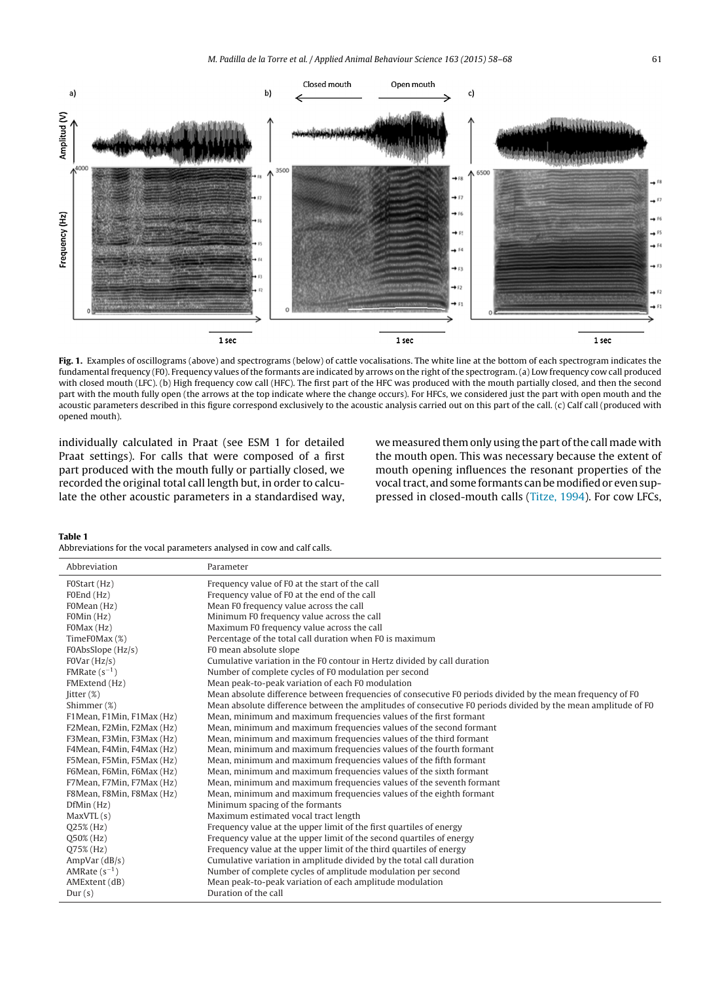<span id="page-3-0"></span>

**Fig. 1.** Examples of oscillograms (above) and spectrograms (below) of cattle vocalisations. The white line at the bottom of each spectrogram indicates the fundamental frequency (F0). Frequency values of the formants are indicated by arrows on the right of the spectrogram. (a) Low frequency cow call produced with closed mouth (LFC). (b) High frequency cow call (HFC). The first part of the HFC was produced with the mouth partially closed, and then the second part with the mouth fully open (the arrows at the top indicate where the change occurs). For HFCs, we considered just the part with open mouth and the acoustic parameters described in this figure correspond exclusively to the acoustic analysis carried out on this part of the call. (c) Calf call (produced with opened mouth).

individually calculated in Praat (see ESM 1 for detailed Praat settings). For calls that were composed of a first part produced with the mouth fully or partially closed, we recorded the original total call length but, in order to calculate the other acoustic parameters in a standardised way,

we measured them only using the part of the call made with the mouth open. This was necessary because the extent of mouth opening influences the resonant properties of the vocal tract, and some formants can be modified or even suppressed in closed-mouth calls ([Titze,](#page-10-0) [1994\).](#page-10-0) For cow LFCs,

#### **Table 1**

Abbreviations for the vocal parameters analysed in cow and calf calls.

| Abbreviation              | Parameter                                                                                                     |
|---------------------------|---------------------------------------------------------------------------------------------------------------|
| FOStart (Hz)              | Frequency value of F0 at the start of the call                                                                |
| F0End (Hz)                | Frequency value of F0 at the end of the call                                                                  |
| FOMean (Hz)               | Mean F0 frequency value across the call                                                                       |
| FOMin (Hz)                | Minimum F0 frequency value across the call                                                                    |
| FOMax (Hz)                | Maximum F0 frequency value across the call                                                                    |
| TimeF0Max (%)             | Percentage of the total call duration when F0 is maximum                                                      |
| F0AbsSlope (Hz/s)         | F0 mean absolute slope                                                                                        |
| FOVar(Hz/s)               | Cumulative variation in the F0 contour in Hertz divided by call duration                                      |
| FMRate $(s^{-1})$         | Number of complete cycles of F0 modulation per second                                                         |
| FMExtend (Hz)             | Mean peak-to-peak variation of each F0 modulation                                                             |
| $litter (\%)$             | Mean absolute difference between frequencies of consecutive F0 periods divided by the mean frequency of F0    |
| Shimmer (%)               | Mean absolute difference between the amplitudes of consecutive F0 periods divided by the mean amplitude of F0 |
| F1Mean, F1Min, F1Max (Hz) | Mean, minimum and maximum frequencies values of the first formant                                             |
| F2Mean, F2Min, F2Max (Hz) | Mean, minimum and maximum frequencies values of the second formant                                            |
| F3Mean, F3Min, F3Max (Hz) | Mean, minimum and maximum frequencies values of the third formant                                             |
| F4Mean, F4Min, F4Max (Hz) | Mean, minimum and maximum frequencies values of the fourth formant                                            |
| F5Mean, F5Min, F5Max (Hz) | Mean, minimum and maximum frequencies values of the fifth formant                                             |
| F6Mean, F6Min, F6Max (Hz) | Mean, minimum and maximum frequencies values of the sixth formant                                             |
| F7Mean, F7Min, F7Max (Hz) | Mean, minimum and maximum frequencies values of the seventh formant                                           |
| F8Mean, F8Min, F8Max (Hz) | Mean, minimum and maximum frequencies values of the eighth formant                                            |
| DfMin(Hz)                 | Minimum spacing of the formants                                                                               |
| MaxVTL(s)                 | Maximum estimated vocal tract length                                                                          |
| $Q25\%$ (Hz)              | Frequency value at the upper limit of the first quartiles of energy                                           |
| Q50% (Hz)                 | Frequency value at the upper limit of the second quartiles of energy                                          |
| Q75% (Hz)                 | Frequency value at the upper limit of the third quartiles of energy                                           |
| AmpVar(dB/s)              | Cumulative variation in amplitude divided by the total call duration                                          |
| AMRate $(s^{-1})$         | Number of complete cycles of amplitude modulation per second                                                  |
| AMExtent (dB)             | Mean peak-to-peak variation of each amplitude modulation                                                      |
| Dur(s)                    | Duration of the call                                                                                          |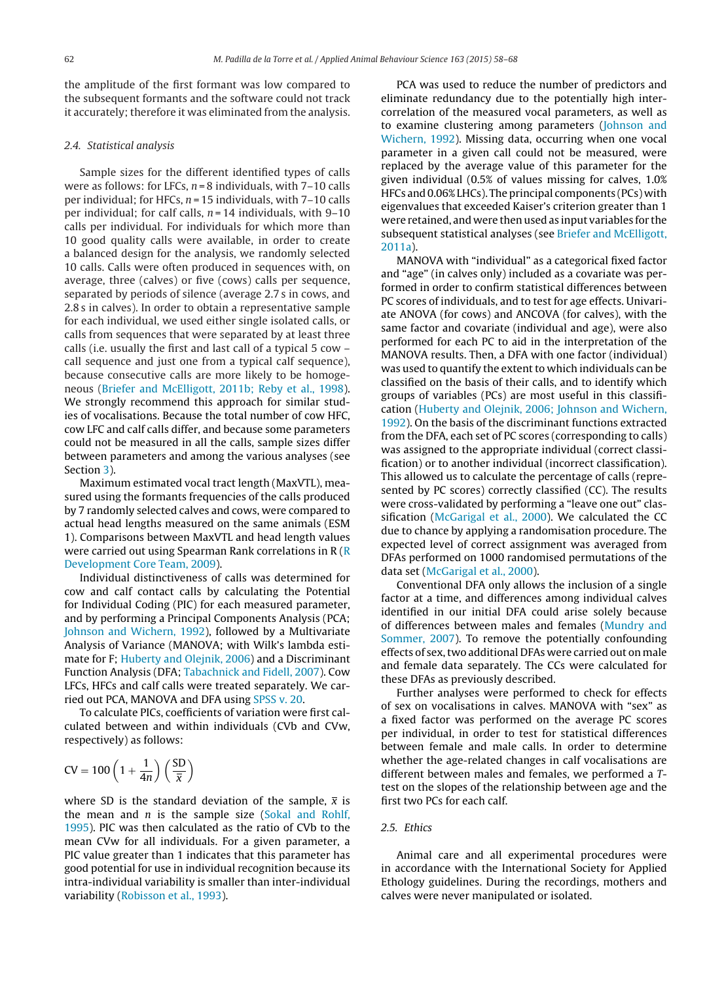the amplitude of the first formant was low compared to the subsequent formants and the software could not track it accurately; therefore it was eliminated from the analysis.

#### 2.4. Statistical analysis

Sample sizes for the different identified types of calls were as follows: for LFCs,  $n = 8$  individuals, with  $7-10$  calls per individual; for HFCs,  $n = 15$  individuals, with  $7-10$  calls per individual; for calf calls,  $n = 14$  individuals, with 9-10 calls per individual. For individuals for which more than 10 good quality calls were available, in order to create a balanced design for the analysis, we randomly selected 10 calls. Calls were often produced in sequences with, on average, three (calves) or five (cows) calls per sequence, separated by periods of silence (average 2.7 s in cows, and 2.8 s in calves). In order to obtain a representative sample for each individual, we used either single isolated calls, or calls from sequences that were separated by at least three calls (i.e. usually the first and last call of a typical 5 cow – call sequence and just one from a typical calf sequence), because consecutive calls are more likely to be homogeneous [\(Briefer](#page-9-0) [and](#page-9-0) [McElligott,](#page-9-0) [2011b;](#page-9-0) [Reby](#page-9-0) et [al.,](#page-9-0) [1998\).](#page-9-0) We strongly recommend this approach for similar studies of vocalisations. Because the total number of cow HFC, cow LFC and calf calls differ, and because some parameters could not be measured in all the calls, sample sizes differ between parameters and among the various analyses (see Section [3\).](#page-5-0)

Maximum estimated vocal tract length (MaxVTL), measured using the formants frequencies of the calls produced by 7 randomly selected calves and cows, were compared to actual head lengths measured on the same animals (ESM 1). Comparisons between MaxVTL and head length values were carried out using Spearman Rank correlations in  $R(R)$  $R(R)$  $R(R)$ [Development](#page-9-0) [Core](#page-9-0) [Team,](#page-9-0) [2009\).](#page-9-0)

Individual distinctiveness of calls was determined for cow and calf contact calls by calculating the Potential for Individual Coding (PIC) for each measured parameter, and by performing a Principal Components Analysis (PCA; [Johnson](#page-9-0) [and](#page-9-0) [Wichern,](#page-9-0) [1992\),](#page-9-0) followed by a Multivariate Analysis of Variance (MANOVA; with Wilk's lambda estimate for F; [Huberty](#page-9-0) [and](#page-9-0) [Olejnik,](#page-9-0) [2006\)](#page-9-0) and a Discriminant Function Analysis (DFA; [Tabachnick](#page-9-0) [and](#page-9-0) [Fidell,](#page-9-0) [2007\).](#page-9-0) Cow LFCs, HFCs and calf calls were treated separately. We carried out PCA, MANOVA and DFA using [SPSS](#page-9-0) [v.](#page-9-0) [20.](#page-9-0)

To calculate PICs, coefficients of variation were first calculated between and within individuals (CVb and CVw, respectively) as follows:

$$
CV = 100 \left(1 + \frac{1}{4n}\right) \left(\frac{SD}{\overline{x}}\right)
$$

where SD is the standard deviation of the sample,  $\bar{x}$  is the mean [and](#page-9-0)  $n$  is the sample size [\(Sokal](#page-9-0) and [Rohlf,](#page-9-0) [1995\).](#page-9-0) PIC was then calculated as the ratio of CVb to the mean CVw for all individuals. For a given parameter, a PIC value greater than 1 indicates that this parameter has good potential for use in individual recognition because its intra-individual variability is smaller than inter-individual variability [\(Robisson](#page-9-0) et [al.,](#page-9-0) [1993\).](#page-9-0)

PCA was used to reduce the number of predictors and eliminate redundancy due to the potentially high intercorrelation of the measured vocal parameters, as well as to examine clustering among parameters [\(Johnson](#page-9-0) [and](#page-9-0) [Wichern,](#page-9-0) [1992\).](#page-9-0) Missing data, occurring when one vocal parameter in a given call could not be measured, were replaced by the average value of this parameter for the given individual (0.5% of values missing for calves, 1.0% HFCs and 0.06% LHCs). The principal components (PCs) with eigenvalues that exceeded Kaiser's criterion greater than 1 were retained, and were then used as input variables for the subsequent statistical analyses (see [Briefer](#page-9-0) [and](#page-9-0) [McElligott,](#page-9-0) [2011a\).](#page-9-0)

MANOVA with "individual" as a categorical fixed factor and "age" (in calves only) included as a covariate was performed in order to confirm statistical differences between PC scores of individuals, and to test for age effects. Univariate ANOVA (for cows) and ANCOVA (for calves), with the same factor and covariate (individual and age), were also performed for each PC to aid in the interpretation of the MANOVA results. Then, a DFA with one factor (individual) was used to quantify the extent to which individuals can be classified on the basis of their calls, and to identify which groups of variables (PCs) are most useful in this classification ([Huberty](#page-9-0) [and](#page-9-0) [Olejnik,](#page-9-0) [2006;](#page-9-0) [Johnson](#page-9-0) [and](#page-9-0) [Wichern,](#page-9-0) [1992\).](#page-9-0) On the basis of the discriminant functions extracted from the DFA, each set of PC scores (corresponding to calls) was assigned to the appropriate individual (correct classification) or to another individual (incorrect classification). This allowed us to calculate the percentage of calls (represented by PC scores) correctly classified (CC). The results were cross-validated by performing a "leave one out" clas-sification ([McGarigal](#page-9-0) et [al.,](#page-9-0) [2000\).](#page-9-0) We calculated the CC due to chance by applying a randomisation procedure. The expected level of correct assignment was averaged from DFAs performed on 1000 randomised permutations of the data set [\(McGarigal](#page-9-0) et [al.,](#page-9-0) [2000\).](#page-9-0)

Conventional DFA only allows the inclusion of a single factor at a time, and differences among individual calves identified in our initial DFA could arise solely because of differences between males and females [\(Mundry](#page-9-0) [and](#page-9-0) [Sommer,](#page-9-0) [2007\).](#page-9-0) To remove the potentially confounding effects of sex, two additional DFAs were carried out on male and female data separately. The CCs were calculated for these DFAs as previously described.

Further analyses were performed to check for effects of sex on vocalisations in calves. MANOVA with "sex" as a fixed factor was performed on the average PC scores per individual, in order to test for statistical differences between female and male calls. In order to determine whether the age-related changes in calf vocalisations are different between males and females, we performed a Ttest on the slopes of the relationship between age and the first two PCs for each calf.

#### 2.5. Ethics

Animal care and all experimental procedures were in accordance with the International Society for Applied Ethology guidelines. During the recordings, mothers and calves were never manipulated or isolated.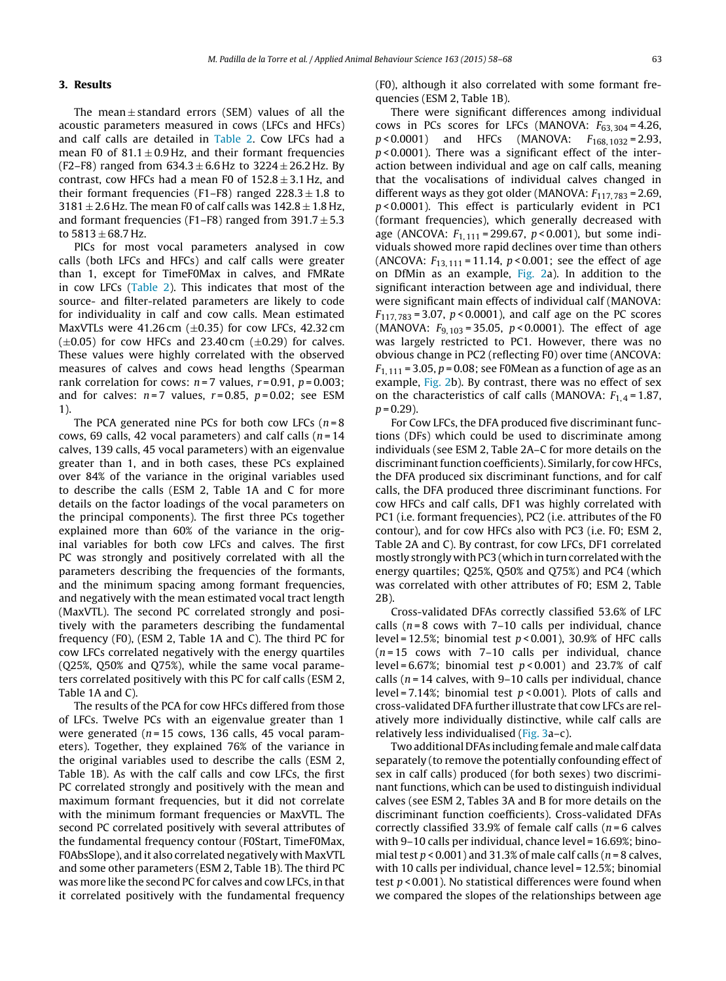## <span id="page-5-0"></span>**3. Results**

The mean  $\pm$  standard errors (SEM) values of all the acoustic parameters measured in cows (LFCs and HFCs) and calf calls are detailed in [Table](#page-6-0) 2. Cow LFCs had a mean F0 of  $81.1 \pm 0.9$  Hz, and their formant frequencies (F2–F8) ranged from  $634.3 \pm 6.6$  Hz to  $3224 \pm 26.2$  Hz. By contrast, cow HFCs had a mean F0 of  $152.8 \pm 3.1$  Hz, and their formant frequencies (F1–F8) ranged  $228.3 \pm 1.8$  to  $3181 \pm 2.6$  Hz, The mean F0 of calf calls was  $142.8 \pm 1.8$  Hz, and formant frequencies (F1–F8) ranged from  $391.7 \pm 5.3$ to  $5813 \pm 68.7$  Hz.

PICs for most vocal parameters analysed in cow calls (both LFCs and HFCs) and calf calls were greater than 1, except for TimeF0Max in calves, and FMRate in cow LFCs [\(Table](#page-6-0) 2). This indicates that most of the source- and filter-related parameters are likely to code for individuality in calf and cow calls. Mean estimated MaxVTLs were  $41.26$  cm ( $\pm$ 0.35) for cow LFCs, 42.32 cm  $(\pm 0.05)$  for cow HFCs and 23.40 cm  $(\pm 0.29)$  for calves. These values were highly correlated with the observed measures of calves and cows head lengths (Spearman rank correlation for cows:  $n = 7$  values,  $r = 0.91$ ,  $p = 0.003$ ; and for calves:  $n=7$  values,  $r=0.85$ ,  $p=0.02$ ; see ESM 1).

The PCA generated nine PCs for both cow LFCs ( $n = 8$ ) cows, 69 calls, 42 vocal parameters) and calf calls  $(n = 14)$ calves, 139 calls, 45 vocal parameters) with an eigenvalue greater than 1, and in both cases, these PCs explained over 84% of the variance in the original variables used to describe the calls (ESM 2, Table 1A and C for more details on the factor loadings of the vocal parameters on the principal components). The first three PCs together explained more than 60% of the variance in the original variables for both cow LFCs and calves. The first PC was strongly and positively correlated with all the parameters describing the frequencies of the formants, and the minimum spacing among formant frequencies, and negatively with the mean estimated vocal tract length (MaxVTL). The second PC correlated strongly and positively with the parameters describing the fundamental frequency (F0), (ESM 2, Table 1A and C). The third PC for cow LFCs correlated negatively with the energy quartiles (Q25%, Q50% and Q75%), while the same vocal parameters correlated positively with this PC for calf calls (ESM 2, Table 1A and C).

The results of the PCA for cow HFCs differed from those of LFCs. Twelve PCs with an eigenvalue greater than 1 were generated ( $n = 15$  cows, 136 calls, 45 vocal parameters). Together, they explained 76% of the variance in the original variables used to describe the calls (ESM 2, Table 1B). As with the calf calls and cow LFCs, the first PC correlated strongly and positively with the mean and maximum formant frequencies, but it did not correlate with the minimum formant frequencies or MaxVTL. The second PC correlated positively with several attributes of the fundamental frequency contour (F0Start, TimeF0Max, F0AbsSlope), and it also correlated negatively with MaxVTL and some other parameters (ESM 2, Table 1B). The third PC was more like the second PC for calves and cow LFCs, in that it correlated positively with the fundamental frequency

(F0), although it also correlated with some formant frequencies (ESM 2, Table 1B).

There were significant differences among individual cows in PCs scores for LFCs (MANOVA:  $F_{63,304} = 4.26$ ,  $p < 0.0001$ ) and HFCs (MANOVA:  $F_{168, 1032} = 2.93$ ,  $p$  < 0.0001). There was a significant effect of the interaction between individual and age on calf calls, meaning that the vocalisations of individual calves changed in different ways as they got older (MANOVA:  $F_{117,783}$  = 2.69,  $p$ <0.0001). This effect is particularly evident in PC1 (formant frequencies), which generally decreased with age (ANCOVA:  $F_{1,111} = 299.67$ ,  $p < 0.001$ ), but some individuals showed more rapid declines over time than others (ANCOVA:  $F_{13, 111} = 11.14$ ,  $p < 0.001$ ; see the effect of age on DfMin as an example, [Fig.](#page-7-0) 2a). In addition to the significant interaction between age and individual, there were significant main effects of individual calf (MANOVA:  $F_{117, 783} = 3.07$ ,  $p < 0.0001$ ), and calf age on the PC scores (MANOVA:  $F_{9,103} = 35.05$ ,  $p < 0.0001$ ). The effect of age was largely restricted to PC1. However, there was no obvious change in PC2 (reflecting F0) over time (ANCOVA:  $F_{1, 111}$  = 3.05, p = 0.08; see F0Mean as a function of age as an example, [Fig.](#page-7-0) 2b). By contrast, there was no effect of sex on the characteristics of calf calls (MANOVA:  $F_{1,4} = 1.87$ ,  $p = 0.29$ ).

For Cow LFCs, the DFA produced five discriminant functions (DFs) which could be used to discriminate among individuals (see ESM 2, Table 2A–C for more details on the discriminant function coefficients). Similarly, for cow HFCs, the DFA produced six discriminant functions, and for calf calls, the DFA produced three discriminant functions. For cow HFCs and calf calls, DF1 was highly correlated with PC1 (i.e. formant frequencies), PC2 (i.e. attributes of the F0 contour), and for cow HFCs also with PC3 (i.e. F0; ESM 2, Table 2A and C). By contrast, for cow LFCs, DF1 correlated mostly strongly with PC3 (which in turn correlated with the energy quartiles; Q25%, Q50% and Q75%) and PC4 (which was correlated with other attributes of F0; ESM 2, Table 2B).

Cross-validated DFAs correctly classified 53.6% of LFC calls ( $n = 8$  cows with 7–10 calls per individual, chance level = 12.5%; binomial test  $p < 0.001$ ), 30.9% of HFC calls  $(n=15)$  cows with 7–10 calls per individual, chance level =  $6.67\%$ ; binomial test  $p < 0.001$ ) and 23.7% of calf calls ( $n = 14$  calves, with 9-10 calls per individual, chance level = 7.14%; binomial test  $p < 0.001$ ). Plots of calls and cross-validated DFA further illustrate that cow LFCs are relatively more individually distinctive, while calf calls are relatively less individualised ([Fig.](#page-7-0) 3a–c).

Two additional DFAs including female and male calf data separately (to remove the potentially confounding effect of sex in calf calls) produced (for both sexes) two discriminant functions, which can be used to distinguish individual calves (see ESM 2, Tables 3A and B for more details on the discriminant function coefficients). Cross-validated DFAs correctly classified 33.9% of female calf calls ( $n = 6$  calves with 9–10 calls per individual, chance level = 16.69%; binomial test  $p < 0.001$ ) and 31.3% of male calf calls ( $n = 8$  calves, with 10 calls per individual, chance level = 12.5%; binomial test  $p < 0.001$ ). No statistical differences were found when we compared the slopes of the relationships between age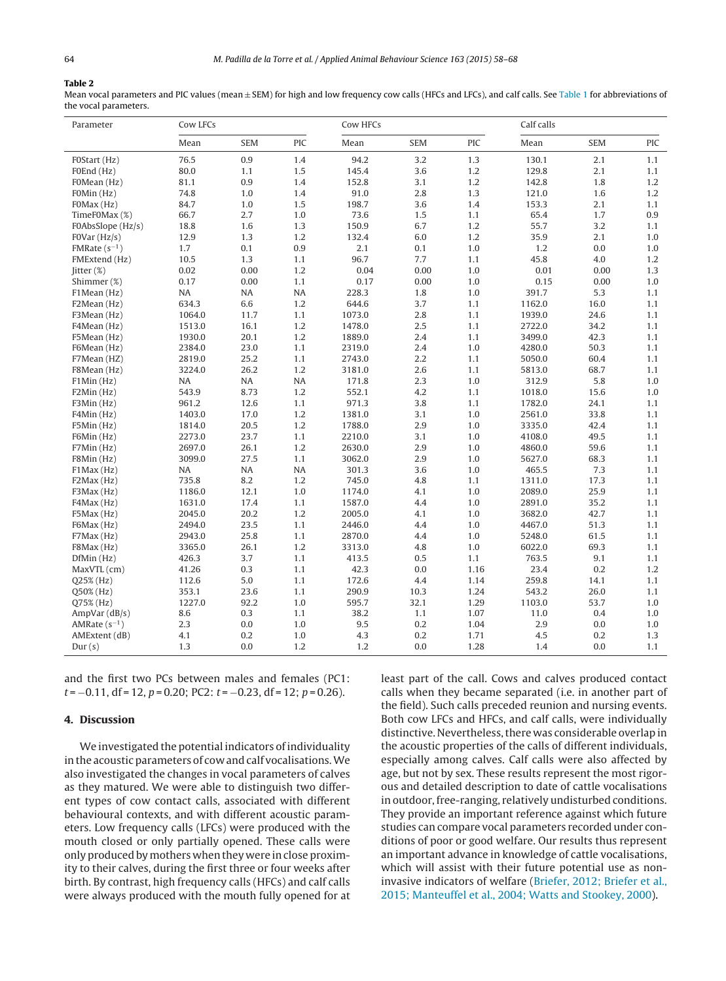#### <span id="page-6-0"></span>**Table 2**

Mean vocal parameters and PIC values (mean ± SEM) for high and low frequency cow calls (HFCs and LFCs), and calf calls. See [Table](#page-3-0) 1 for abbreviations of the vocal parameters.

| Parameter           | Cow LFCs  |            |           | Cow HFCs |            |      | Calf calls |            |     |
|---------------------|-----------|------------|-----------|----------|------------|------|------------|------------|-----|
|                     | Mean      | <b>SEM</b> | PIC       | Mean     | <b>SEM</b> | PIC  | Mean       | <b>SEM</b> | PIC |
| FOStart (Hz)        | 76.5      | 0.9        | 1.4       | 94.2     | 3.2        | 1.3  | 130.1      | 2.1        | 1.1 |
| F0End (Hz)          | 80.0      | 1.1        | 1.5       | 145.4    | 3.6        | 1.2  | 129.8      | 2.1        | 1.1 |
| FOMean (Hz)         | 81.1      | 0.9        | 1.4       | 152.8    | 3.1        | 1.2  | 142.8      | 1.8        | 1.2 |
| FOMin (Hz)          | 74.8      | 1.0        | 1.4       | 91.0     | 2.8        | 1.3  | 121.0      | 1.6        | 1.2 |
| FOMax (Hz)          | 84.7      | 1.0        | 1.5       | 198.7    | 3.6        | 1.4  | 153.3      | 2.1        | 1.1 |
| TimeF0Max (%)       | 66.7      | 2.7        | 1.0       | 73.6     | 1.5        | 1.1  | 65.4       | 1.7        | 0.9 |
| F0AbsSlope (Hz/s)   | 18.8      | 1.6        | 1.3       | 150.9    | 6.7        | 1.2  | 55.7       | 3.2        | 1.1 |
| FOVar(Hz/s)         | 12.9      | 1.3        | 1.2       | 132.4    | 6.0        | 1.2  | 35.9       | 2.1        | 1.0 |
| FMRate $(s^{-1})$   | 1.7       | 0.1        | 0.9       | 2.1      | 0.1        | 1.0  | 1.2        | 0.0        | 1.0 |
| FMExtend (Hz)       | 10.5      | 1.3        | 1.1       | 96.7     | 7.7        | 1,1  | 45.8       | 4.0        | 1.2 |
| $\text{litter}$ (%) | 0.02      | 0.00       | 1.2       | 0.04     | 0.00       | 1.0  | 0.01       | 0.00       | 1.3 |
| Shimmer (%)         | 0.17      | 0.00       | 1.1       | 0.17     | 0.00       | 1.0  | 0.15       | 0.00       | 1.0 |
| F1Mean (Hz)         | NA        | NA         | NA        | 228.3    | 1.8        | 1.0  | 391.7      | 5.3        | 1.1 |
| F2Mean (Hz)         | 634.3     | 6.6        | 1.2       | 644.6    | 3.7        | 1.1  | 1162.0     | 16.0       | 1.1 |
| F3Mean (Hz)         | 1064.0    | 11.7       | 1.1       | 1073.0   | 2.8        | 1.1  | 1939.0     | 24.6       | 1.1 |
| F4Mean (Hz)         | 1513.0    | 16.1       | 1.2       | 1478.0   | 2.5        | 1.1  | 2722.0     | 34.2       | 1.1 |
| F5Mean (Hz)         | 1930.0    | 20.1       | 1.2       | 1889.0   | 2.4        | 1.1  | 3499.0     | 42.3       | 1.1 |
| F6Mean (Hz)         | 2384.0    | 23.0       | 1.1       | 2319.0   | 2.4        | 1.0  | 4280.0     | 50.3       | 1.1 |
| F7Mean (HZ)         | 2819.0    | 25.2       | 1.1       | 2743.0   | 2.2        | 1.1  | 5050.0     | 60.4       | 1.1 |
| F8Mean (Hz)         | 3224.0    | 26.2       | 1.2       | 3181.0   | 2.6        | 1.1  | 5813.0     | 68.7       | 1.1 |
| F1Min (Hz)          | <b>NA</b> | <b>NA</b>  | <b>NA</b> | 171.8    | 2.3        | 1.0  | 312.9      | 5.8        | 1.0 |
| F2Min(Hz)           | 543.9     | 8.73       | 1.2       | 552.1    | 4.2        | 1.1  | 1018.0     | 15.6       | 1.0 |
| F3Min (Hz)          | 961.2     | 12.6       | 1.1       | 971.3    | 3.8        | 1.1  | 1782.0     | 24.1       | 1.1 |
| F4Min (Hz)          | 1403.0    | 17.0       | 1.2       | 1381.0   | 3.1        | 1.0  | 2561.0     | 33.8       | 1.1 |
| F5Min (Hz)          | 1814.0    | 20.5       | 1.2       | 1788.0   | 2.9        | 1.0  | 3335.0     | 42.4       | 1.1 |
| F6Min (Hz)          | 2273.0    | 23.7       | 1.1       | 2210.0   | 3.1        | 1.0  | 4108.0     | 49.5       | 1.1 |
| F7Min (Hz)          | 2697.0    | 26.1       | 1.2       | 2630.0   | 2.9        | 1.0  | 4860.0     | 59.6       | 1.1 |
| F8Min (Hz)          | 3099.0    | 27.5       | 1.1       | 3062.0   | 2.9        | 1.0  | 5627.0     | 68.3       | 1.1 |
| F1Max (Hz)          | <b>NA</b> | <b>NA</b>  | <b>NA</b> | 301.3    | 3.6        | 1.0  | 465.5      | 7.3        | 1.1 |
| F2Max (Hz)          | 735.8     | 8.2        | 1.2       | 745.0    | 4.8        | 1.1  | 1311.0     | 17.3       | 1.1 |
| F3Max (Hz)          | 1186.0    | 12.1       | 1.0       | 1174.0   | 4.1        | 1.0  | 2089.0     | 25.9       | 1.1 |
| F4Max (Hz)          | 1631.0    | 17.4       | 1.1       | 1587.0   | 4.4        | 1.0  | 2891.0     | 35.2       | 1.1 |
| F5Max (Hz)          | 2045.0    | 20.2       | 1.2       | 2005.0   | 4.1        | 1.0  | 3682.0     | 42.7       | 1.1 |
| F6Max (Hz)          | 2494.0    | 23.5       | 1.1       | 2446.0   | 4.4        | 1.0  | 4467.0     | 51.3       | 1.1 |
| F7Max (Hz)          | 2943.0    | 25.8       | 1.1       | 2870.0   | 4.4        | 1.0  | 5248.0     | 61.5       | 1.1 |
| F8Max (Hz)          | 3365.0    | 26.1       | 1.2       | 3313.0   | 4.8        | 1.0  | 6022.0     | 69.3       | 1.1 |
| DfMin(Hz)           | 426.3     | 3.7        | 1.1       | 413.5    | 0.5        | 1,1  | 763.5      | 9.1        | 1.1 |
| MaxVTL (cm)         | 41.26     | 0.3        | 1.1       | 42.3     | 0.0        | 1.16 | 23.4       | 0.2        | 1.2 |
| $Q25\%$ (Hz)        | 112.6     | 5.0        | 1.1       | 172.6    | 4.4        | 1.14 | 259.8      | 14.1       | 1.1 |
| Q50% (Hz)           | 353.1     | 23.6       | 1.1       | 290.9    | 10.3       | 1.24 | 543.2      | 26.0       | 1.1 |
| Q75% (Hz)           | 1227.0    | 92.2       | 1.0       | 595.7    | 32.1       | 1.29 | 1103.0     | 53.7       | 1.0 |
| AmpVar $(dB/s)$     | 8.6       | 0.3        | 1.1       | 38.2     | 1.1        | 1.07 | 11.0       | 0.4        | 1.0 |
| AMRate $(s^{-1})$   | 2.3       | 0.0        | 1.0       | 9.5      | 0.2        | 1.04 | 2.9        | 0.0        | 1.0 |
| AMExtent (dB)       | 4.1       | 0.2        | 1.0       | 4.3      | 0.2        | 1.71 | 4.5        | 0.2        | 1.3 |
| Dur(s)              | 1.3       | 0.0        | 1.2       | 1.2      | 0.0        | 1.28 | 1.4        | 0.0        | 1.1 |

and the first two PCs between males and females (PC1:  $t = -0.11$ , df = 12, p = 0.20; PC2:  $t = -0.23$ , df = 12; p = 0.26).

#### **4. Discussion**

We investigated the potential indicators of individuality in the acoustic parameters of cow and calf vocalisations. We also investigated the changes in vocal parameters of calves as they matured. We were able to distinguish two different types of cow contact calls, associated with different behavioural contexts, and with different acoustic parameters. Low frequency calls (LFCs) were produced with the mouth closed or only partially opened. These calls were only produced bymothers whenthey were inclose proximity to their calves, during the first three or four weeks after birth. By contrast, high frequency calls (HFCs) and calf calls were always produced with the mouth fully opened for at least part of the call. Cows and calves produced contact calls when they became separated (i.e. in another part of the field). Such calls preceded reunion and nursing events. Both cow LFCs and HFCs, and calf calls, were individually distinctive. Nevertheless, there was considerable overlap in the acoustic properties of the calls of different individuals, especially among calves. Calf calls were also affected by age, but not by sex. These results represent the most rigorous and detailed description to date of cattle vocalisations in outdoor, free-ranging, relatively undisturbed conditions. They provide an important reference against which future studies can compare vocal parameters recorded under conditions of poor or good welfare. Our results thus represent an important advance in knowledge of cattle vocalisations, which will assist with their future potential use as noninvasive indicators of welfare [\(Briefer,](#page-9-0) [2012;](#page-9-0) [Briefer](#page-9-0) et [al.,](#page-9-0) [2015;](#page-9-0) [Manteuffel](#page-9-0) et [al.,](#page-9-0) [2004;](#page-9-0) [Watts](#page-9-0) [and](#page-9-0) [Stookey,](#page-9-0) [2000\).](#page-9-0)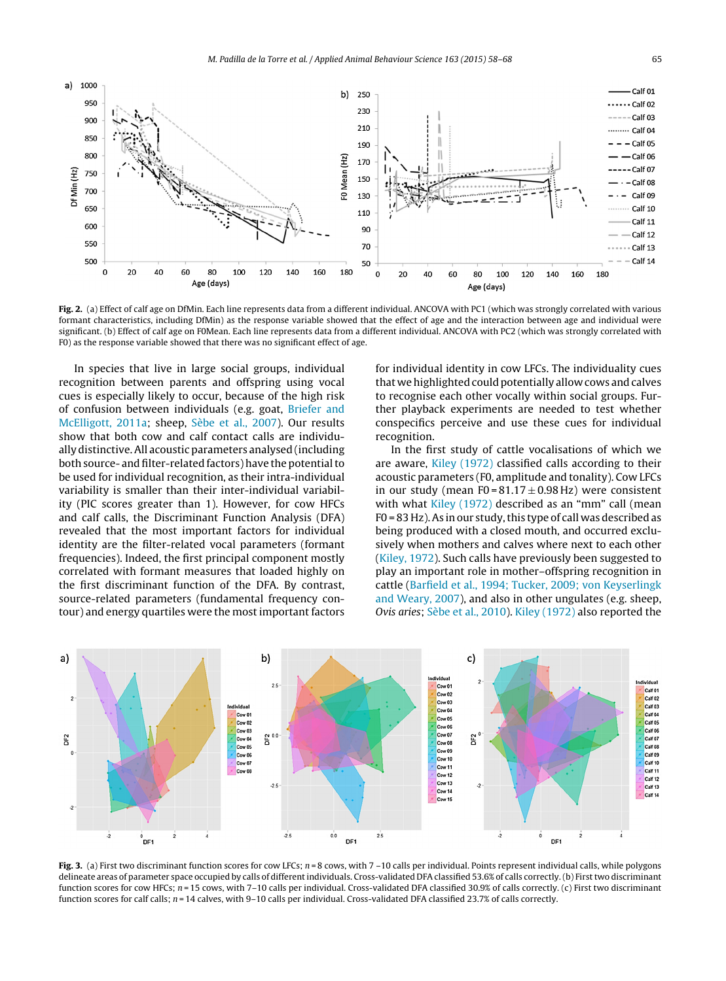<span id="page-7-0"></span>

**Fig. 2.** (a) Effect of calf age on DfMin. Each line represents data from a different individual. ANCOVA with PC1 (which was strongly correlated with various formant characteristics, including DfMin) as the response variable showed that the effect of age and the interaction between age and individual were significant. (b) Effect of calf age on F0Mean. Each line represents data from a different individual. ANCOVA with PC2 (which was strongly correlated with F0) as the response variable showed that there was no significant effect of age.

In species that live in large social groups, individual recognition between parents and offspring using vocal cues is especially likely to occur, because of the high risk of confusion between individuals (e.g. goat, [Briefer](#page-9-0) [and](#page-9-0) [McElligott,](#page-9-0) [2011a;](#page-9-0) sheep, [Sèbe](#page-9-0) et [al.,](#page-9-0) [2007\).](#page-9-0) Our results show that both cow and calf contact calls are individually distinctive.All acoustic parameters analysed (including both source- and filter-related factors) have the potential to be used for individual recognition, as their intra-individual variability is smaller than their inter-individual variability (PIC scores greater than 1). However, for cow HFCs and calf calls, the Discriminant Function Analysis (DFA) revealed that the most important factors for individual identity are the filter-related vocal parameters (formant frequencies). Indeed, the first principal component mostly correlated with formant measures that loaded highly on the first discriminant function of the DFA. By contrast, source-related parameters (fundamental frequency contour) and energy quartiles were the most important factors for individual identity in cow LFCs. The individuality cues that we highlighted could potentially allow cows and calves to recognise each other vocally within social groups. Further playback experiments are needed to test whether conspecifics perceive and use these cues for individual recognition.

In the first study of cattle vocalisations of which we are aware, [Kiley](#page-9-0) [\(1972\)](#page-9-0) classified calls according to their acoustic parameters (F0, amplitude and tonality). Cow LFCs in our study (mean F0 =  $81.17 \pm 0.98$  Hz) were consistent with what [Kiley](#page-9-0) [\(1972\)](#page-9-0) described as an "mm" call (mean F0 = 83 Hz). As in our study, this type of call was described as being produced with a closed mouth, and occurred exclusively when mothers and calves where next to each other [\(Kiley,](#page-9-0) [1972\).](#page-9-0) Such calls have previously been suggested to play an important role in mother–offspring recognition in cattle ([Barfield](#page-9-0) et [al.,](#page-9-0) [1994;](#page-9-0) [Tucker,](#page-9-0) [2009;](#page-9-0) [von](#page-9-0) [Keyserlingk](#page-9-0) [and](#page-9-0) [Weary,](#page-9-0) [2007\),](#page-9-0) and also in other ungulates (e.g. sheep, Ovis aries; [Sèbe](#page-9-0) et [al.,](#page-9-0) [2010\).](#page-9-0) [Kiley](#page-9-0) [\(1972\)](#page-9-0) also reported the



**Fig. 3.** (a) First two discriminant function scores for cow LFCs;  $n = 8$  cows, with  $7 - 10$  calls per individual. Points represent individual calls, while polygons delineate areas of parameter space occupied by calls of different individuals. Cross-validated DFA classified 53.6% of calls correctly. (b) First two discriminant function scores for cow HFCs; n = 15 cows, with 7-10 calls per individual. Cross-validated DFA classified 30.9% of calls correctly. (c) First two discriminant function scores for calf calls;  $n = 14$  calves, with 9-10 calls per individual. Cross-validated DFA classified 23.7% of calls correctly.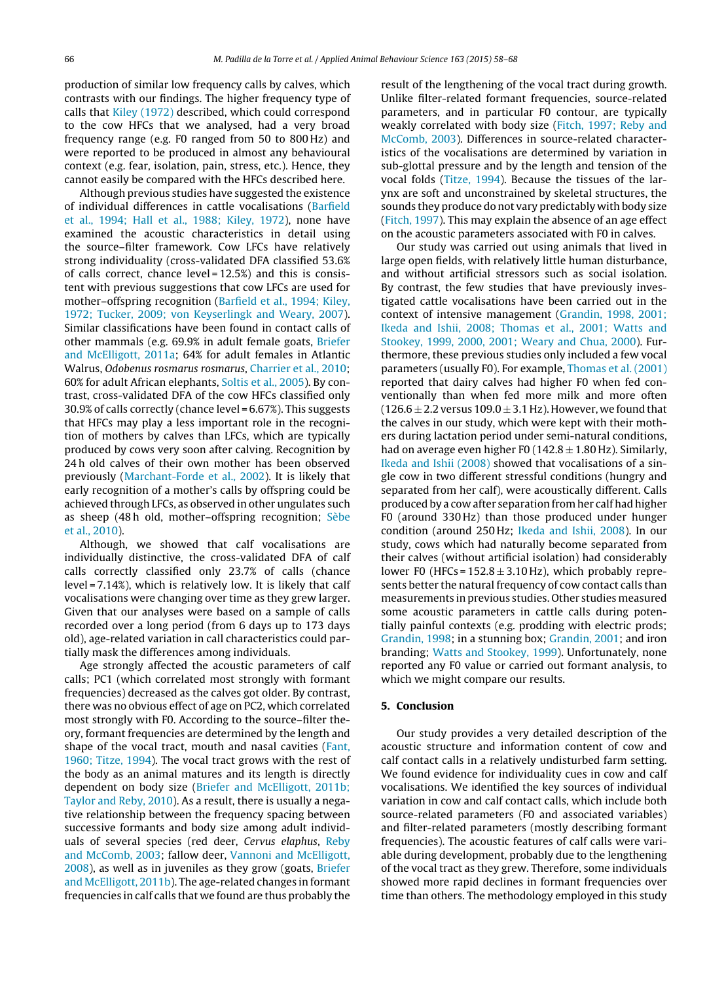production of similar low frequency calls by calves, which contrasts with our findings. The higher frequency type of calls that [Kiley](#page-9-0) [\(1972\)](#page-9-0) described, which could correspond to the cow HFCs that we analysed, had a very broad frequency range (e.g. F0 ranged from 50 to 800 Hz) and were reported to be produced in almost any behavioural context (e.g. fear, isolation, pain, stress, etc.). Hence, they cannot easily be compared with the HFCs described here.

Although previous studies have suggested the existence of individual differences in cattle vocalisations ([Barfield](#page-9-0) et [al.,](#page-9-0) [1994;](#page-9-0) [Hall](#page-9-0) et [al.,](#page-9-0) [1988;](#page-9-0) [Kiley,](#page-9-0) [1972\),](#page-9-0) none have examined the acoustic characteristics in detail using the source–filter framework. Cow LFCs have relatively strong individuality (cross-validated DFA classified 53.6% of calls correct, chance level = 12.5%) and this is consistent with previous suggestions that cow LFCs are used for mother–offspring recognition ([Barfield](#page-9-0) et [al.,](#page-9-0) [1994;](#page-9-0) [Kiley,](#page-9-0) [1972;](#page-9-0) [Tucker,](#page-9-0) [2009;](#page-9-0) [von](#page-9-0) [Keyserlingk](#page-9-0) [and](#page-9-0) [Weary,](#page-9-0) [2007\).](#page-9-0) Similar classifications have been found in contact calls of other mammals (e.g. 69.9% in adult female goats, [Briefer](#page-9-0) [and](#page-9-0) [McElligott,](#page-9-0) [2011a;](#page-9-0) 64% for adult females in Atlantic Walrus, Odobenus rosmarus rosmarus, [Charrier](#page-9-0) et [al.,](#page-9-0) [2010;](#page-9-0) 60% for adult African elephants, [Soltis](#page-9-0) et [al.,](#page-9-0) [2005\).](#page-9-0) By contrast, cross-validated DFA of the cow HFCs classified only 30.9% of calls correctly (chance level = 6.67%). This suggests that HFCs may play a less important role in the recognition of mothers by calves than LFCs, which are typically produced by cows very soon after calving. Recognition by 24 h old calves of their own mother has been observed previously ([Marchant-Forde](#page-9-0) et [al.,](#page-9-0) [2002\).](#page-9-0) It is likely that early recognition of a mother's calls by offspring could be achieved through LFCs, as observed in other ungulates such as sheep (48 h old, mother–offspring recognition; [Sèbe](#page-9-0) et [al.,](#page-9-0) [2010\).](#page-9-0)

Although, we showed that calf vocalisations are individually distinctive, the cross-validated DFA of calf calls correctly classified only 23.7% of calls (chance level = 7.14%), which is relatively low. It is likely that calf vocalisations were changing over time as they grew larger. Given that our analyses were based on a sample of calls recorded over a long period (from 6 days up to 173 days old), age-related variation in call characteristics could partially mask the differences among individuals.

Age strongly affected the acoustic parameters of calf calls; PC1 (which correlated most strongly with formant frequencies) decreased as the calves got older. By contrast, there was no obvious effect of age on PC2, which correlated most strongly with F0. According to the source–filter theory, formant frequencies are determined by the length and shape of the vocal tract, mouth and nasal cavities ([Fant,](#page-9-0) [1960;](#page-9-0) [Titze,](#page-9-0) [1994\).](#page-9-0) The vocal tract grows with the rest of the body as an animal matures and its length is directly dependent on body size [\(Briefer](#page-9-0) [and](#page-9-0) [McElligott,](#page-9-0) [2011b;](#page-9-0) [Taylor](#page-9-0) [and](#page-9-0) [Reby,](#page-9-0) [2010\).](#page-9-0) As a result, there is usually a negative relationship between the frequency spacing between successive formants and body size among adult individuals of several species (red deer, Cervus elaphus, [Reby](#page-9-0) [and](#page-9-0) [McComb,](#page-9-0) [2003;](#page-9-0) fallow deer, [Vannoni](#page-10-0) [and](#page-10-0) [McElligott,](#page-10-0) [2008\),](#page-10-0) as well as in juveniles as they grow (goats, [Briefer](#page-9-0) [and](#page-9-0) [McElligott,](#page-9-0) [2011b\).](#page-9-0) The age-related changes in formant frequencies in calf calls that we found are thus probably the

result of the lengthening of the vocal tract during growth. Unlike filter-related formant frequencies, source-related parameters, and in particular F0 contour, are typically weakly correlated with body size [\(Fitch,](#page-9-0) [1997;](#page-9-0) [Reby](#page-9-0) [and](#page-9-0) [McComb,](#page-9-0) [2003\).](#page-9-0) Differences in source-related characteristics of the vocalisations are determined by variation in sub-glottal pressure and by the length and tension of the vocal folds [\(Titze,](#page-10-0) [1994\).](#page-10-0) Because the tissues of the larynx are soft and unconstrained by skeletal structures, the sounds they produce do not vary predictably with body size [\(Fitch,](#page-9-0) [1997\).](#page-9-0) This may explain the absence of an age effect on the acoustic parameters associated with F0 in calves.

Our study was carried out using animals that lived in large open fields, with relatively little human disturbance, and without artificial stressors such as social isolation. By contrast, the few studies that have previously investigated cattle vocalisations have been carried out in the context of intensive management ([Grandin,](#page-9-0) [1998,](#page-9-0) [2001;](#page-9-0) [Ikeda](#page-9-0) [and](#page-9-0) [Ishii,](#page-9-0) [2008;](#page-9-0) [Thomas](#page-9-0) et [al.,](#page-9-0) [2001;](#page-9-0) [Watts](#page-9-0) [and](#page-9-0) [Stookey,](#page-9-0) [1999,](#page-9-0) [2000,](#page-9-0) [2001;](#page-9-0) [Weary](#page-9-0) [and](#page-9-0) [Chua,](#page-9-0) [2000\).](#page-9-0) Furthermore, these previous studies only included a few vocal parameters (usually F0). For example, [Thomas](#page-10-0) et [al.](#page-10-0) [\(2001\)](#page-10-0) reported that dairy calves had higher F0 when fed conventionally than when fed more milk and more often  $(126.6 \pm 2.2 \text{ versus } 109.0 \pm 3.1 \text{ Hz})$ . However, we found that the calves in our study, which were kept with their mothers during lactation period under semi-natural conditions, had on average even higher F0 ( $142.8 \pm 1.80$  Hz). Similarly, [Ikeda](#page-9-0) [and](#page-9-0) [Ishii](#page-9-0) [\(2008\)](#page-9-0) showed that vocalisations of a single cow in two different stressful conditions (hungry and separated from her calf), were acoustically different. Calls produced by a cow after separation from her calf had higher F0 (around 330 Hz) than those produced under hunger condition (around 250 Hz; [Ikeda](#page-9-0) [and](#page-9-0) [Ishii,](#page-9-0) [2008\).](#page-9-0) In our study, cows which had naturally become separated from their calves (without artificial isolation) had considerably lower F0 (HFCs =  $152.8 \pm 3.10$  Hz), which probably represents better the natural frequency of cow contact calls than measurements in previous studies. Other studies measured some acoustic parameters in cattle calls during potentially painful contexts (e.g. prodding with electric prods; [Grandin,](#page-9-0) [1998;](#page-9-0) in a stunning box; [Grandin,](#page-9-0) [2001;](#page-9-0) and iron branding; [Watts](#page-10-0) [and](#page-10-0) [Stookey,](#page-10-0) [1999\).](#page-10-0) Unfortunately, none reported any F0 value or carried out formant analysis, to which we might compare our results.

#### **5. Conclusion**

Our study provides a very detailed description of the acoustic structure and information content of cow and calf contact calls in a relatively undisturbed farm setting. We found evidence for individuality cues in cow and calf vocalisations. We identified the key sources of individual variation in cow and calf contact calls, which include both source-related parameters (F0 and associated variables) and filter-related parameters (mostly describing formant frequencies). The acoustic features of calf calls were variable during development, probably due to the lengthening of the vocal tract as they grew. Therefore, some individuals showed more rapid declines in formant frequencies over time than others. The methodology employed in this study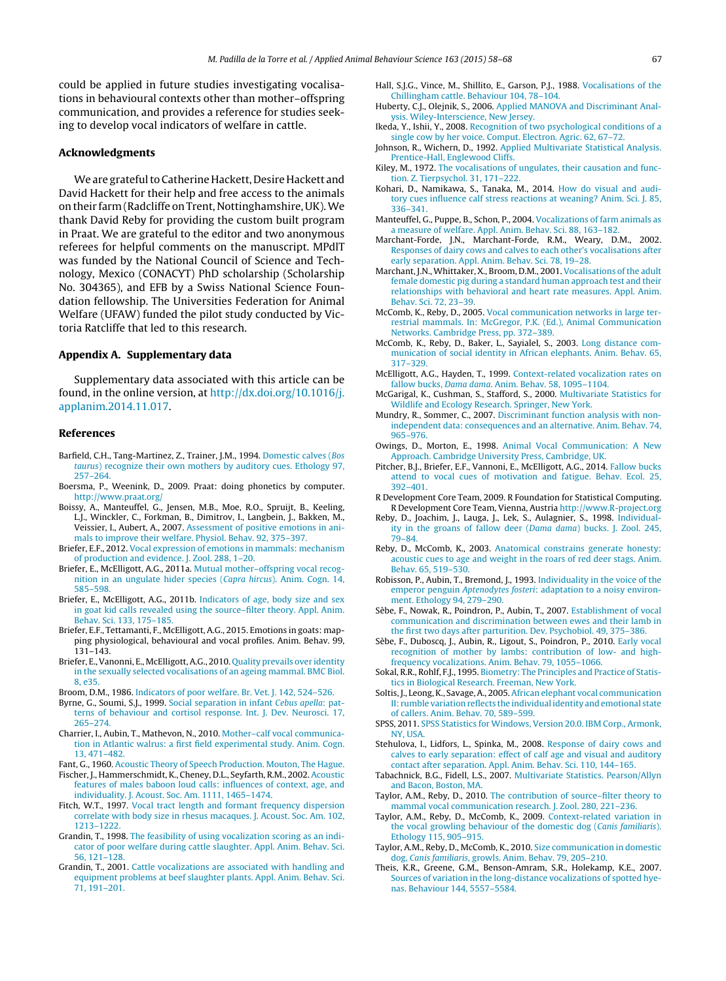<span id="page-9-0"></span>could be applied in future studies investigating vocalisations in behavioural contexts other than mother–offspring communication, and provides a reference for studies seeking to develop vocal indicators of welfare in cattle.

#### **Acknowledgments**

We are grateful to Catherine Hackett, Desire Hackett and David Hackett for their help and free access to the animals on their farm (Radcliffe on Trent, Nottinghamshire, UK).We thank David Reby for providing the custom built program in Praat. We are grateful to the editor and two anonymous referees for helpful comments on the manuscript. MPdlT was funded by the National Council of Science and Technology, Mexico (CONACYT) PhD scholarship (Scholarship No. 304365), and EFB by a Swiss National Science Foundation fellowship. The Universities Federation for Animal Welfare (UFAW) funded the pilot study conducted by Victoria Ratcliffe that led to this research.

#### **Appendix A. Supplementary data**

Supplementary data associated with this article can be found, in the online version, at [http://dx.doi.org/10.1016/j.](http://dx.doi.org/10.1016/j.applanim.2014.11.017) [applanim.2014.11.017](http://dx.doi.org/10.1016/j.applanim.2014.11.017).

# **References**

- Barfield, C.H., Tang-Martinez, Z., Trainer, J.M., 1994. [Domestic](http://refhub.elsevier.com/S0168-1591(14)00304-9/sbref0005) [calves](http://refhub.elsevier.com/S0168-1591(14)00304-9/sbref0005) [\(](http://refhub.elsevier.com/S0168-1591(14)00304-9/sbref0005)[Bos](http://refhub.elsevier.com/S0168-1591(14)00304-9/sbref0005) [taurus](http://refhub.elsevier.com/S0168-1591(14)00304-9/sbref0005)[\)](http://refhub.elsevier.com/S0168-1591(14)00304-9/sbref0005) [recognize](http://refhub.elsevier.com/S0168-1591(14)00304-9/sbref0005) [their](http://refhub.elsevier.com/S0168-1591(14)00304-9/sbref0005) [own](http://refhub.elsevier.com/S0168-1591(14)00304-9/sbref0005) [mothers](http://refhub.elsevier.com/S0168-1591(14)00304-9/sbref0005) [by](http://refhub.elsevier.com/S0168-1591(14)00304-9/sbref0005) [auditory](http://refhub.elsevier.com/S0168-1591(14)00304-9/sbref0005) [cues.](http://refhub.elsevier.com/S0168-1591(14)00304-9/sbref0005) [Ethology](http://refhub.elsevier.com/S0168-1591(14)00304-9/sbref0005) [97,](http://refhub.elsevier.com/S0168-1591(14)00304-9/sbref0005) [257](http://refhub.elsevier.com/S0168-1591(14)00304-9/sbref0005)–[264.](http://refhub.elsevier.com/S0168-1591(14)00304-9/sbref0005)
- Boersma, P., Weenink, D., 2009. Praat: doing phonetics by computer. <http://www.praat.org/>
- Boissy, A., Manteuffel, G., Jensen, M.B., Moe, R.O., Spruijt, B., Keeling, L.J., Winckler, C., Forkman, B., Dimitrov, I., Langbein, J., Bakken, M., Veissier, I., Aubert, A., 2007. [Assessment](http://refhub.elsevier.com/S0168-1591(14)00304-9/sbref0015) [of](http://refhub.elsevier.com/S0168-1591(14)00304-9/sbref0015) [positive](http://refhub.elsevier.com/S0168-1591(14)00304-9/sbref0015) [emotions](http://refhub.elsevier.com/S0168-1591(14)00304-9/sbref0015) [in](http://refhub.elsevier.com/S0168-1591(14)00304-9/sbref0015) [ani](http://refhub.elsevier.com/S0168-1591(14)00304-9/sbref0015)[mals](http://refhub.elsevier.com/S0168-1591(14)00304-9/sbref0015) [to](http://refhub.elsevier.com/S0168-1591(14)00304-9/sbref0015) [improve](http://refhub.elsevier.com/S0168-1591(14)00304-9/sbref0015) [their](http://refhub.elsevier.com/S0168-1591(14)00304-9/sbref0015) [welfare.](http://refhub.elsevier.com/S0168-1591(14)00304-9/sbref0015) [Physiol.](http://refhub.elsevier.com/S0168-1591(14)00304-9/sbref0015) [Behav.](http://refhub.elsevier.com/S0168-1591(14)00304-9/sbref0015) [92,](http://refhub.elsevier.com/S0168-1591(14)00304-9/sbref0015) [375–397.](http://refhub.elsevier.com/S0168-1591(14)00304-9/sbref0015)
- Briefer, E.F., 2012. [Vocal](http://refhub.elsevier.com/S0168-1591(14)00304-9/sbref0020) [expression](http://refhub.elsevier.com/S0168-1591(14)00304-9/sbref0020) [of](http://refhub.elsevier.com/S0168-1591(14)00304-9/sbref0020) [emotions](http://refhub.elsevier.com/S0168-1591(14)00304-9/sbref0020) [in](http://refhub.elsevier.com/S0168-1591(14)00304-9/sbref0020) [mammals:](http://refhub.elsevier.com/S0168-1591(14)00304-9/sbref0020) [mechanism](http://refhub.elsevier.com/S0168-1591(14)00304-9/sbref0020) [of](http://refhub.elsevier.com/S0168-1591(14)00304-9/sbref0020) [production](http://refhub.elsevier.com/S0168-1591(14)00304-9/sbref0020) [and](http://refhub.elsevier.com/S0168-1591(14)00304-9/sbref0020) [evidence.](http://refhub.elsevier.com/S0168-1591(14)00304-9/sbref0020) [J.](http://refhub.elsevier.com/S0168-1591(14)00304-9/sbref0020) [Zool.](http://refhub.elsevier.com/S0168-1591(14)00304-9/sbref0020) [288,](http://refhub.elsevier.com/S0168-1591(14)00304-9/sbref0020) [1](http://refhub.elsevier.com/S0168-1591(14)00304-9/sbref0020)–[20.](http://refhub.elsevier.com/S0168-1591(14)00304-9/sbref0020)
- Briefer, E., McElligott, A.G., 2011a. [Mutual](http://refhub.elsevier.com/S0168-1591(14)00304-9/sbref0025) [mother–offspring](http://refhub.elsevier.com/S0168-1591(14)00304-9/sbref0025) [vocal](http://refhub.elsevier.com/S0168-1591(14)00304-9/sbref0025) [recog](http://refhub.elsevier.com/S0168-1591(14)00304-9/sbref0025)[nition](http://refhub.elsevier.com/S0168-1591(14)00304-9/sbref0025) [in](http://refhub.elsevier.com/S0168-1591(14)00304-9/sbref0025) [an](http://refhub.elsevier.com/S0168-1591(14)00304-9/sbref0025) [ungulate](http://refhub.elsevier.com/S0168-1591(14)00304-9/sbref0025) [hider](http://refhub.elsevier.com/S0168-1591(14)00304-9/sbref0025) [species](http://refhub.elsevier.com/S0168-1591(14)00304-9/sbref0025) [\(](http://refhub.elsevier.com/S0168-1591(14)00304-9/sbref0025)[Capra](http://refhub.elsevier.com/S0168-1591(14)00304-9/sbref0025) [hircus](http://refhub.elsevier.com/S0168-1591(14)00304-9/sbref0025)[\).](http://refhub.elsevier.com/S0168-1591(14)00304-9/sbref0025) [Anim.](http://refhub.elsevier.com/S0168-1591(14)00304-9/sbref0025) [Cogn.](http://refhub.elsevier.com/S0168-1591(14)00304-9/sbref0025) [14,](http://refhub.elsevier.com/S0168-1591(14)00304-9/sbref0025) [585](http://refhub.elsevier.com/S0168-1591(14)00304-9/sbref0025)–[598.](http://refhub.elsevier.com/S0168-1591(14)00304-9/sbref0025)
- Briefer, E., McElligott, A.G., 2011b. [Indicators](http://refhub.elsevier.com/S0168-1591(14)00304-9/sbref0030) [of](http://refhub.elsevier.com/S0168-1591(14)00304-9/sbref0030) [age,](http://refhub.elsevier.com/S0168-1591(14)00304-9/sbref0030) [body](http://refhub.elsevier.com/S0168-1591(14)00304-9/sbref0030) [size](http://refhub.elsevier.com/S0168-1591(14)00304-9/sbref0030) [and](http://refhub.elsevier.com/S0168-1591(14)00304-9/sbref0030) [sex](http://refhub.elsevier.com/S0168-1591(14)00304-9/sbref0030) [in](http://refhub.elsevier.com/S0168-1591(14)00304-9/sbref0030) [goat](http://refhub.elsevier.com/S0168-1591(14)00304-9/sbref0030) [kid](http://refhub.elsevier.com/S0168-1591(14)00304-9/sbref0030) [calls](http://refhub.elsevier.com/S0168-1591(14)00304-9/sbref0030) [revealed](http://refhub.elsevier.com/S0168-1591(14)00304-9/sbref0030) [using](http://refhub.elsevier.com/S0168-1591(14)00304-9/sbref0030) [the](http://refhub.elsevier.com/S0168-1591(14)00304-9/sbref0030) [source–filter](http://refhub.elsevier.com/S0168-1591(14)00304-9/sbref0030) [theory.](http://refhub.elsevier.com/S0168-1591(14)00304-9/sbref0030) [Appl.](http://refhub.elsevier.com/S0168-1591(14)00304-9/sbref0030) [Anim.](http://refhub.elsevier.com/S0168-1591(14)00304-9/sbref0030) [Behav.](http://refhub.elsevier.com/S0168-1591(14)00304-9/sbref0030) [Sci.](http://refhub.elsevier.com/S0168-1591(14)00304-9/sbref0030) [133,](http://refhub.elsevier.com/S0168-1591(14)00304-9/sbref0030) [175](http://refhub.elsevier.com/S0168-1591(14)00304-9/sbref0030)–[185.](http://refhub.elsevier.com/S0168-1591(14)00304-9/sbref0030)
- Briefer, E.F., Tettamanti, F., McElligott, A.G., 2015. Emotions in goats: mapping physiological, behavioural and vocal profiles. Anim. Behav. 99, 131–143.
- Briefer, E.,Vanonni, E., McElligott,A.G., 2010. [Quality](http://refhub.elsevier.com/S0168-1591(14)00304-9/sbref0040) [prevails](http://refhub.elsevier.com/S0168-1591(14)00304-9/sbref0040) [over](http://refhub.elsevier.com/S0168-1591(14)00304-9/sbref0040) [identity](http://refhub.elsevier.com/S0168-1591(14)00304-9/sbref0040) [in](http://refhub.elsevier.com/S0168-1591(14)00304-9/sbref0040) [the](http://refhub.elsevier.com/S0168-1591(14)00304-9/sbref0040) [sexually](http://refhub.elsevier.com/S0168-1591(14)00304-9/sbref0040) [selected](http://refhub.elsevier.com/S0168-1591(14)00304-9/sbref0040) [vocalisations](http://refhub.elsevier.com/S0168-1591(14)00304-9/sbref0040) [of](http://refhub.elsevier.com/S0168-1591(14)00304-9/sbref0040) [an](http://refhub.elsevier.com/S0168-1591(14)00304-9/sbref0040) [ageing](http://refhub.elsevier.com/S0168-1591(14)00304-9/sbref0040) [mammal.](http://refhub.elsevier.com/S0168-1591(14)00304-9/sbref0040) [BMC](http://refhub.elsevier.com/S0168-1591(14)00304-9/sbref0040) [Biol.](http://refhub.elsevier.com/S0168-1591(14)00304-9/sbref0040) [8,](http://refhub.elsevier.com/S0168-1591(14)00304-9/sbref0040) [e35.](http://refhub.elsevier.com/S0168-1591(14)00304-9/sbref0040)
- Broom, D.M., 1986. [Indicators](http://refhub.elsevier.com/S0168-1591(14)00304-9/sbref0045) [of](http://refhub.elsevier.com/S0168-1591(14)00304-9/sbref0045) [poor](http://refhub.elsevier.com/S0168-1591(14)00304-9/sbref0045) [welfare.](http://refhub.elsevier.com/S0168-1591(14)00304-9/sbref0045) [Br.](http://refhub.elsevier.com/S0168-1591(14)00304-9/sbref0045) [Vet.](http://refhub.elsevier.com/S0168-1591(14)00304-9/sbref0045) [J.](http://refhub.elsevier.com/S0168-1591(14)00304-9/sbref0045) [142,](http://refhub.elsevier.com/S0168-1591(14)00304-9/sbref0045) [524–526.](http://refhub.elsevier.com/S0168-1591(14)00304-9/sbref0045)
- Byrne, G., Soumi, S.J., 1999. [Social](http://refhub.elsevier.com/S0168-1591(14)00304-9/sbref0050) [separation](http://refhub.elsevier.com/S0168-1591(14)00304-9/sbref0050) [in](http://refhub.elsevier.com/S0168-1591(14)00304-9/sbref0050) [infant](http://refhub.elsevier.com/S0168-1591(14)00304-9/sbref0050) [Cebus](http://refhub.elsevier.com/S0168-1591(14)00304-9/sbref0050) [apella](http://refhub.elsevier.com/S0168-1591(14)00304-9/sbref0050)[:](http://refhub.elsevier.com/S0168-1591(14)00304-9/sbref0050) [pat](http://refhub.elsevier.com/S0168-1591(14)00304-9/sbref0050)[terns](http://refhub.elsevier.com/S0168-1591(14)00304-9/sbref0050) [of](http://refhub.elsevier.com/S0168-1591(14)00304-9/sbref0050) [behaviour](http://refhub.elsevier.com/S0168-1591(14)00304-9/sbref0050) [and](http://refhub.elsevier.com/S0168-1591(14)00304-9/sbref0050) [cortisol](http://refhub.elsevier.com/S0168-1591(14)00304-9/sbref0050) [response.](http://refhub.elsevier.com/S0168-1591(14)00304-9/sbref0050) [Int.](http://refhub.elsevier.com/S0168-1591(14)00304-9/sbref0050) [J.](http://refhub.elsevier.com/S0168-1591(14)00304-9/sbref0050) [Dev.](http://refhub.elsevier.com/S0168-1591(14)00304-9/sbref0050) [Neurosci.](http://refhub.elsevier.com/S0168-1591(14)00304-9/sbref0050) [17,](http://refhub.elsevier.com/S0168-1591(14)00304-9/sbref0050) [265–274.](http://refhub.elsevier.com/S0168-1591(14)00304-9/sbref0050)
- Charrier, I., Aubin, T., Mathevon, N., 2010. [Mother–calf](http://refhub.elsevier.com/S0168-1591(14)00304-9/sbref0055) [vocal](http://refhub.elsevier.com/S0168-1591(14)00304-9/sbref0055) [communica](http://refhub.elsevier.com/S0168-1591(14)00304-9/sbref0055)[tion](http://refhub.elsevier.com/S0168-1591(14)00304-9/sbref0055) [in](http://refhub.elsevier.com/S0168-1591(14)00304-9/sbref0055) [Atlantic](http://refhub.elsevier.com/S0168-1591(14)00304-9/sbref0055) [walrus:](http://refhub.elsevier.com/S0168-1591(14)00304-9/sbref0055) [a](http://refhub.elsevier.com/S0168-1591(14)00304-9/sbref0055) [first](http://refhub.elsevier.com/S0168-1591(14)00304-9/sbref0055) [field](http://refhub.elsevier.com/S0168-1591(14)00304-9/sbref0055) [experimental](http://refhub.elsevier.com/S0168-1591(14)00304-9/sbref0055) [study.](http://refhub.elsevier.com/S0168-1591(14)00304-9/sbref0055) [Anim.](http://refhub.elsevier.com/S0168-1591(14)00304-9/sbref0055) [Cogn.](http://refhub.elsevier.com/S0168-1591(14)00304-9/sbref0055) [13,](http://refhub.elsevier.com/S0168-1591(14)00304-9/sbref0055) [471–482.](http://refhub.elsevier.com/S0168-1591(14)00304-9/sbref0055)
- Fant, G., 1960. [Acoustic](http://refhub.elsevier.com/S0168-1591(14)00304-9/sbref0060) [Theory](http://refhub.elsevier.com/S0168-1591(14)00304-9/sbref0060) [of](http://refhub.elsevier.com/S0168-1591(14)00304-9/sbref0060) [Speech](http://refhub.elsevier.com/S0168-1591(14)00304-9/sbref0060) [Production.](http://refhub.elsevier.com/S0168-1591(14)00304-9/sbref0060) [Mouton,](http://refhub.elsevier.com/S0168-1591(14)00304-9/sbref0060) [The](http://refhub.elsevier.com/S0168-1591(14)00304-9/sbref0060) [Hague.](http://refhub.elsevier.com/S0168-1591(14)00304-9/sbref0060) Fischer, J., Hammerschmidt, K., Cheney, D.L., Seyfarth, R.M., 2002. [Acoustic](http://refhub.elsevier.com/S0168-1591(14)00304-9/sbref0065) [features](http://refhub.elsevier.com/S0168-1591(14)00304-9/sbref0065) [of](http://refhub.elsevier.com/S0168-1591(14)00304-9/sbref0065) [males](http://refhub.elsevier.com/S0168-1591(14)00304-9/sbref0065) [baboon](http://refhub.elsevier.com/S0168-1591(14)00304-9/sbref0065) [loud](http://refhub.elsevier.com/S0168-1591(14)00304-9/sbref0065) [calls:](http://refhub.elsevier.com/S0168-1591(14)00304-9/sbref0065) [influences](http://refhub.elsevier.com/S0168-1591(14)00304-9/sbref0065) [of](http://refhub.elsevier.com/S0168-1591(14)00304-9/sbref0065) [context,](http://refhub.elsevier.com/S0168-1591(14)00304-9/sbref0065) [age,](http://refhub.elsevier.com/S0168-1591(14)00304-9/sbref0065) [and](http://refhub.elsevier.com/S0168-1591(14)00304-9/sbref0065)
- [individuality.](http://refhub.elsevier.com/S0168-1591(14)00304-9/sbref0065) [J.](http://refhub.elsevier.com/S0168-1591(14)00304-9/sbref0065) [Acoust.](http://refhub.elsevier.com/S0168-1591(14)00304-9/sbref0065) [Soc.](http://refhub.elsevier.com/S0168-1591(14)00304-9/sbref0065) [Am.](http://refhub.elsevier.com/S0168-1591(14)00304-9/sbref0065) [1111,](http://refhub.elsevier.com/S0168-1591(14)00304-9/sbref0065) [1465–1474.](http://refhub.elsevier.com/S0168-1591(14)00304-9/sbref0065) Fitch, W.T., 1997. [Vocal](http://refhub.elsevier.com/S0168-1591(14)00304-9/sbref0070) [tract](http://refhub.elsevier.com/S0168-1591(14)00304-9/sbref0070) [length](http://refhub.elsevier.com/S0168-1591(14)00304-9/sbref0070) [and](http://refhub.elsevier.com/S0168-1591(14)00304-9/sbref0070) [formant](http://refhub.elsevier.com/S0168-1591(14)00304-9/sbref0070) [frequency](http://refhub.elsevier.com/S0168-1591(14)00304-9/sbref0070) [dispersion](http://refhub.elsevier.com/S0168-1591(14)00304-9/sbref0070)
- [correlate](http://refhub.elsevier.com/S0168-1591(14)00304-9/sbref0070) [with](http://refhub.elsevier.com/S0168-1591(14)00304-9/sbref0070) [body](http://refhub.elsevier.com/S0168-1591(14)00304-9/sbref0070) [size](http://refhub.elsevier.com/S0168-1591(14)00304-9/sbref0070) [in](http://refhub.elsevier.com/S0168-1591(14)00304-9/sbref0070) [rhesus](http://refhub.elsevier.com/S0168-1591(14)00304-9/sbref0070) [macaques.](http://refhub.elsevier.com/S0168-1591(14)00304-9/sbref0070) [J.](http://refhub.elsevier.com/S0168-1591(14)00304-9/sbref0070) [Acoust.](http://refhub.elsevier.com/S0168-1591(14)00304-9/sbref0070) [Soc.](http://refhub.elsevier.com/S0168-1591(14)00304-9/sbref0070) [Am.](http://refhub.elsevier.com/S0168-1591(14)00304-9/sbref0070) [102,](http://refhub.elsevier.com/S0168-1591(14)00304-9/sbref0070) [1213](http://refhub.elsevier.com/S0168-1591(14)00304-9/sbref0070)–[1222.](http://refhub.elsevier.com/S0168-1591(14)00304-9/sbref0070)
- Grandin, T., 1998. [The](http://refhub.elsevier.com/S0168-1591(14)00304-9/sbref0075) [feasibility](http://refhub.elsevier.com/S0168-1591(14)00304-9/sbref0075) [of](http://refhub.elsevier.com/S0168-1591(14)00304-9/sbref0075) [using](http://refhub.elsevier.com/S0168-1591(14)00304-9/sbref0075) [vocalization](http://refhub.elsevier.com/S0168-1591(14)00304-9/sbref0075) [scoring](http://refhub.elsevier.com/S0168-1591(14)00304-9/sbref0075) [as](http://refhub.elsevier.com/S0168-1591(14)00304-9/sbref0075) [an](http://refhub.elsevier.com/S0168-1591(14)00304-9/sbref0075) [indi](http://refhub.elsevier.com/S0168-1591(14)00304-9/sbref0075)[cator](http://refhub.elsevier.com/S0168-1591(14)00304-9/sbref0075) [of](http://refhub.elsevier.com/S0168-1591(14)00304-9/sbref0075) [poor](http://refhub.elsevier.com/S0168-1591(14)00304-9/sbref0075) [welfare](http://refhub.elsevier.com/S0168-1591(14)00304-9/sbref0075) [during](http://refhub.elsevier.com/S0168-1591(14)00304-9/sbref0075) [cattle](http://refhub.elsevier.com/S0168-1591(14)00304-9/sbref0075) [slaughter.](http://refhub.elsevier.com/S0168-1591(14)00304-9/sbref0075) [Appl.](http://refhub.elsevier.com/S0168-1591(14)00304-9/sbref0075) [Anim.](http://refhub.elsevier.com/S0168-1591(14)00304-9/sbref0075) [Behav.](http://refhub.elsevier.com/S0168-1591(14)00304-9/sbref0075) [Sci.](http://refhub.elsevier.com/S0168-1591(14)00304-9/sbref0075) [56,](http://refhub.elsevier.com/S0168-1591(14)00304-9/sbref0075) [121](http://refhub.elsevier.com/S0168-1591(14)00304-9/sbref0075)–[128.](http://refhub.elsevier.com/S0168-1591(14)00304-9/sbref0075)
- Grandin, T., 2001. [Cattle](http://refhub.elsevier.com/S0168-1591(14)00304-9/sbref0080) [vocalizations](http://refhub.elsevier.com/S0168-1591(14)00304-9/sbref0080) [are](http://refhub.elsevier.com/S0168-1591(14)00304-9/sbref0080) [associated](http://refhub.elsevier.com/S0168-1591(14)00304-9/sbref0080) [with](http://refhub.elsevier.com/S0168-1591(14)00304-9/sbref0080) [handling](http://refhub.elsevier.com/S0168-1591(14)00304-9/sbref0080) [and](http://refhub.elsevier.com/S0168-1591(14)00304-9/sbref0080) [equipment](http://refhub.elsevier.com/S0168-1591(14)00304-9/sbref0080) [problems](http://refhub.elsevier.com/S0168-1591(14)00304-9/sbref0080) [at](http://refhub.elsevier.com/S0168-1591(14)00304-9/sbref0080) [beef](http://refhub.elsevier.com/S0168-1591(14)00304-9/sbref0080) [slaughter](http://refhub.elsevier.com/S0168-1591(14)00304-9/sbref0080) [plants.](http://refhub.elsevier.com/S0168-1591(14)00304-9/sbref0080) [Appl.](http://refhub.elsevier.com/S0168-1591(14)00304-9/sbref0080) [Anim.](http://refhub.elsevier.com/S0168-1591(14)00304-9/sbref0080) [Behav.](http://refhub.elsevier.com/S0168-1591(14)00304-9/sbref0080) [Sci.](http://refhub.elsevier.com/S0168-1591(14)00304-9/sbref0080) [71,](http://refhub.elsevier.com/S0168-1591(14)00304-9/sbref0080) [191–201.](http://refhub.elsevier.com/S0168-1591(14)00304-9/sbref0080)
- Hall, S.J.G., Vince, M., Shillito, E., Garson, P.J., 1988. [Vocalisations](http://refhub.elsevier.com/S0168-1591(14)00304-9/sbref0085) [of](http://refhub.elsevier.com/S0168-1591(14)00304-9/sbref0085) [the](http://refhub.elsevier.com/S0168-1591(14)00304-9/sbref0085) [Chillingham](http://refhub.elsevier.com/S0168-1591(14)00304-9/sbref0085) [cattle.](http://refhub.elsevier.com/S0168-1591(14)00304-9/sbref0085) [Behaviour](http://refhub.elsevier.com/S0168-1591(14)00304-9/sbref0085) [104,](http://refhub.elsevier.com/S0168-1591(14)00304-9/sbref0085) [78](http://refhub.elsevier.com/S0168-1591(14)00304-9/sbref0085)–[104.](http://refhub.elsevier.com/S0168-1591(14)00304-9/sbref0085)
- Huberty, C.J., Olejnik, S., 2006. [Applied](http://refhub.elsevier.com/S0168-1591(14)00304-9/sbref0090) [MANOVA](http://refhub.elsevier.com/S0168-1591(14)00304-9/sbref0090) [and](http://refhub.elsevier.com/S0168-1591(14)00304-9/sbref0090) [Discriminant](http://refhub.elsevier.com/S0168-1591(14)00304-9/sbref0090) [Anal](http://refhub.elsevier.com/S0168-1591(14)00304-9/sbref0090)[ysis.](http://refhub.elsevier.com/S0168-1591(14)00304-9/sbref0090) [Wiley-Interscience,](http://refhub.elsevier.com/S0168-1591(14)00304-9/sbref0090) [New](http://refhub.elsevier.com/S0168-1591(14)00304-9/sbref0090) [Jersey.](http://refhub.elsevier.com/S0168-1591(14)00304-9/sbref0090)
- Ikeda, Y., Ishii, Y., 2008. [Recognition](http://refhub.elsevier.com/S0168-1591(14)00304-9/sbref0095) [of](http://refhub.elsevier.com/S0168-1591(14)00304-9/sbref0095) [two](http://refhub.elsevier.com/S0168-1591(14)00304-9/sbref0095) [psychological](http://refhub.elsevier.com/S0168-1591(14)00304-9/sbref0095) [conditions](http://refhub.elsevier.com/S0168-1591(14)00304-9/sbref0095) [of](http://refhub.elsevier.com/S0168-1591(14)00304-9/sbref0095) [a](http://refhub.elsevier.com/S0168-1591(14)00304-9/sbref0095) [single](http://refhub.elsevier.com/S0168-1591(14)00304-9/sbref0095) [cow](http://refhub.elsevier.com/S0168-1591(14)00304-9/sbref0095) [by](http://refhub.elsevier.com/S0168-1591(14)00304-9/sbref0095) [her](http://refhub.elsevier.com/S0168-1591(14)00304-9/sbref0095) [voice.](http://refhub.elsevier.com/S0168-1591(14)00304-9/sbref0095) [Comput.](http://refhub.elsevier.com/S0168-1591(14)00304-9/sbref0095) [Electron.](http://refhub.elsevier.com/S0168-1591(14)00304-9/sbref0095) [Agric.](http://refhub.elsevier.com/S0168-1591(14)00304-9/sbref0095) [62,](http://refhub.elsevier.com/S0168-1591(14)00304-9/sbref0095) [67–72.](http://refhub.elsevier.com/S0168-1591(14)00304-9/sbref0095)
- Johnson, R., Wichern, D., 1992. [Applied](http://refhub.elsevier.com/S0168-1591(14)00304-9/sbref0100) [Multivariate](http://refhub.elsevier.com/S0168-1591(14)00304-9/sbref0100) [Statistical](http://refhub.elsevier.com/S0168-1591(14)00304-9/sbref0100) [Analysis.](http://refhub.elsevier.com/S0168-1591(14)00304-9/sbref0100) [Prentice-Hall,](http://refhub.elsevier.com/S0168-1591(14)00304-9/sbref0100) [Englewood](http://refhub.elsevier.com/S0168-1591(14)00304-9/sbref0100) [Cliffs.](http://refhub.elsevier.com/S0168-1591(14)00304-9/sbref0100)
- Kiley, M., 1972. [The](http://refhub.elsevier.com/S0168-1591(14)00304-9/sbref0105) [vocalisations](http://refhub.elsevier.com/S0168-1591(14)00304-9/sbref0105) [of](http://refhub.elsevier.com/S0168-1591(14)00304-9/sbref0105) [ungulates,](http://refhub.elsevier.com/S0168-1591(14)00304-9/sbref0105) [their](http://refhub.elsevier.com/S0168-1591(14)00304-9/sbref0105) [causation](http://refhub.elsevier.com/S0168-1591(14)00304-9/sbref0105) [and](http://refhub.elsevier.com/S0168-1591(14)00304-9/sbref0105) [func](http://refhub.elsevier.com/S0168-1591(14)00304-9/sbref0105)[tion.](http://refhub.elsevier.com/S0168-1591(14)00304-9/sbref0105) [Z.](http://refhub.elsevier.com/S0168-1591(14)00304-9/sbref0105) [Tierpsychol.](http://refhub.elsevier.com/S0168-1591(14)00304-9/sbref0105) [31,](http://refhub.elsevier.com/S0168-1591(14)00304-9/sbref0105) [171–222.](http://refhub.elsevier.com/S0168-1591(14)00304-9/sbref0105)
- Kohari, D., Namikawa, S., Tanaka, M., 2014. [How](http://refhub.elsevier.com/S0168-1591(14)00304-9/sbref0110) [do](http://refhub.elsevier.com/S0168-1591(14)00304-9/sbref0110) [visual](http://refhub.elsevier.com/S0168-1591(14)00304-9/sbref0110) [and](http://refhub.elsevier.com/S0168-1591(14)00304-9/sbref0110) [audi](http://refhub.elsevier.com/S0168-1591(14)00304-9/sbref0110)[tory](http://refhub.elsevier.com/S0168-1591(14)00304-9/sbref0110) [cues](http://refhub.elsevier.com/S0168-1591(14)00304-9/sbref0110) [influence](http://refhub.elsevier.com/S0168-1591(14)00304-9/sbref0110) [calf](http://refhub.elsevier.com/S0168-1591(14)00304-9/sbref0110) [stress](http://refhub.elsevier.com/S0168-1591(14)00304-9/sbref0110) [reactions](http://refhub.elsevier.com/S0168-1591(14)00304-9/sbref0110) [at](http://refhub.elsevier.com/S0168-1591(14)00304-9/sbref0110) [weaning?](http://refhub.elsevier.com/S0168-1591(14)00304-9/sbref0110) [Anim.](http://refhub.elsevier.com/S0168-1591(14)00304-9/sbref0110) [Sci.](http://refhub.elsevier.com/S0168-1591(14)00304-9/sbref0110) [J.](http://refhub.elsevier.com/S0168-1591(14)00304-9/sbref0110) [85,](http://refhub.elsevier.com/S0168-1591(14)00304-9/sbref0110) [336–341.](http://refhub.elsevier.com/S0168-1591(14)00304-9/sbref0110)
- Manteuffel, G., Puppe, B., Schon, P., 2004. [Vocalizations](http://refhub.elsevier.com/S0168-1591(14)00304-9/sbref0115) [of](http://refhub.elsevier.com/S0168-1591(14)00304-9/sbref0115) [farm](http://refhub.elsevier.com/S0168-1591(14)00304-9/sbref0115) [animals](http://refhub.elsevier.com/S0168-1591(14)00304-9/sbref0115) [as](http://refhub.elsevier.com/S0168-1591(14)00304-9/sbref0115) [a](http://refhub.elsevier.com/S0168-1591(14)00304-9/sbref0115) [measure](http://refhub.elsevier.com/S0168-1591(14)00304-9/sbref0115) [of](http://refhub.elsevier.com/S0168-1591(14)00304-9/sbref0115) [welfare.](http://refhub.elsevier.com/S0168-1591(14)00304-9/sbref0115) [Appl.](http://refhub.elsevier.com/S0168-1591(14)00304-9/sbref0115) [Anim.](http://refhub.elsevier.com/S0168-1591(14)00304-9/sbref0115) [Behav.](http://refhub.elsevier.com/S0168-1591(14)00304-9/sbref0115) [Sci.](http://refhub.elsevier.com/S0168-1591(14)00304-9/sbref0115) [88,](http://refhub.elsevier.com/S0168-1591(14)00304-9/sbref0115) [163–182.](http://refhub.elsevier.com/S0168-1591(14)00304-9/sbref0115)
- Marchant-Forde, J.N., Marchant-Forde, R.M., Weary, D.M., 2002. [Responses](http://refhub.elsevier.com/S0168-1591(14)00304-9/sbref0120) [of](http://refhub.elsevier.com/S0168-1591(14)00304-9/sbref0120) [dairy](http://refhub.elsevier.com/S0168-1591(14)00304-9/sbref0120) [cows](http://refhub.elsevier.com/S0168-1591(14)00304-9/sbref0120) [and](http://refhub.elsevier.com/S0168-1591(14)00304-9/sbref0120) [calves](http://refhub.elsevier.com/S0168-1591(14)00304-9/sbref0120) [to](http://refhub.elsevier.com/S0168-1591(14)00304-9/sbref0120) [each](http://refhub.elsevier.com/S0168-1591(14)00304-9/sbref0120) [other's](http://refhub.elsevier.com/S0168-1591(14)00304-9/sbref0120) [vocalisations](http://refhub.elsevier.com/S0168-1591(14)00304-9/sbref0120) [after](http://refhub.elsevier.com/S0168-1591(14)00304-9/sbref0120) [early](http://refhub.elsevier.com/S0168-1591(14)00304-9/sbref0120) [separation.](http://refhub.elsevier.com/S0168-1591(14)00304-9/sbref0120) [Appl.](http://refhub.elsevier.com/S0168-1591(14)00304-9/sbref0120) [Anim.](http://refhub.elsevier.com/S0168-1591(14)00304-9/sbref0120) [Behav.](http://refhub.elsevier.com/S0168-1591(14)00304-9/sbref0120) [Sci.](http://refhub.elsevier.com/S0168-1591(14)00304-9/sbref0120) [78,](http://refhub.elsevier.com/S0168-1591(14)00304-9/sbref0120) [19–28.](http://refhub.elsevier.com/S0168-1591(14)00304-9/sbref0120)
- Marchant, J.N., Whittaker, X., Broom, D.M., 2001. [Vocalisations](http://refhub.elsevier.com/S0168-1591(14)00304-9/sbref0125) of the [adult](http://refhub.elsevier.com/S0168-1591(14)00304-9/sbref0125) [female](http://refhub.elsevier.com/S0168-1591(14)00304-9/sbref0125) [domestic](http://refhub.elsevier.com/S0168-1591(14)00304-9/sbref0125) [pig](http://refhub.elsevier.com/S0168-1591(14)00304-9/sbref0125) [during](http://refhub.elsevier.com/S0168-1591(14)00304-9/sbref0125) [a](http://refhub.elsevier.com/S0168-1591(14)00304-9/sbref0125) [standard](http://refhub.elsevier.com/S0168-1591(14)00304-9/sbref0125) [human](http://refhub.elsevier.com/S0168-1591(14)00304-9/sbref0125) [approach](http://refhub.elsevier.com/S0168-1591(14)00304-9/sbref0125) [test](http://refhub.elsevier.com/S0168-1591(14)00304-9/sbref0125) [and](http://refhub.elsevier.com/S0168-1591(14)00304-9/sbref0125) [their](http://refhub.elsevier.com/S0168-1591(14)00304-9/sbref0125) [relationships](http://refhub.elsevier.com/S0168-1591(14)00304-9/sbref0125) [with](http://refhub.elsevier.com/S0168-1591(14)00304-9/sbref0125) [behavioral](http://refhub.elsevier.com/S0168-1591(14)00304-9/sbref0125) [and](http://refhub.elsevier.com/S0168-1591(14)00304-9/sbref0125) [heart](http://refhub.elsevier.com/S0168-1591(14)00304-9/sbref0125) [rate](http://refhub.elsevier.com/S0168-1591(14)00304-9/sbref0125) [measures.](http://refhub.elsevier.com/S0168-1591(14)00304-9/sbref0125) [Appl.](http://refhub.elsevier.com/S0168-1591(14)00304-9/sbref0125) [Anim.](http://refhub.elsevier.com/S0168-1591(14)00304-9/sbref0125) [Behav.](http://refhub.elsevier.com/S0168-1591(14)00304-9/sbref0125) [Sci.](http://refhub.elsevier.com/S0168-1591(14)00304-9/sbref0125) [72,](http://refhub.elsevier.com/S0168-1591(14)00304-9/sbref0125) [23–39.](http://refhub.elsevier.com/S0168-1591(14)00304-9/sbref0125)
- McComb, K., Reby, D., 2005. [Vocal](http://refhub.elsevier.com/S0168-1591(14)00304-9/sbref0130) [communication](http://refhub.elsevier.com/S0168-1591(14)00304-9/sbref0130) [networks](http://refhub.elsevier.com/S0168-1591(14)00304-9/sbref0130) [in](http://refhub.elsevier.com/S0168-1591(14)00304-9/sbref0130) [large](http://refhub.elsevier.com/S0168-1591(14)00304-9/sbref0130) [ter](http://refhub.elsevier.com/S0168-1591(14)00304-9/sbref0130)[restrial](http://refhub.elsevier.com/S0168-1591(14)00304-9/sbref0130) [mammals.](http://refhub.elsevier.com/S0168-1591(14)00304-9/sbref0130) [In:](http://refhub.elsevier.com/S0168-1591(14)00304-9/sbref0130) [McGregor,](http://refhub.elsevier.com/S0168-1591(14)00304-9/sbref0130) [P.K.](http://refhub.elsevier.com/S0168-1591(14)00304-9/sbref0130) [\(Ed.\),](http://refhub.elsevier.com/S0168-1591(14)00304-9/sbref0130) [Animal](http://refhub.elsevier.com/S0168-1591(14)00304-9/sbref0130) [Communication](http://refhub.elsevier.com/S0168-1591(14)00304-9/sbref0130) [Networks.](http://refhub.elsevier.com/S0168-1591(14)00304-9/sbref0130) [Cambridge](http://refhub.elsevier.com/S0168-1591(14)00304-9/sbref0130) [Press,](http://refhub.elsevier.com/S0168-1591(14)00304-9/sbref0130) [pp.](http://refhub.elsevier.com/S0168-1591(14)00304-9/sbref0130) [372–389.](http://refhub.elsevier.com/S0168-1591(14)00304-9/sbref0130)
- McComb, K., Reby, D., Baker, L., Sayialel, S., 2003. [Long](http://refhub.elsevier.com/S0168-1591(14)00304-9/sbref0135) [distance](http://refhub.elsevier.com/S0168-1591(14)00304-9/sbref0135) [com](http://refhub.elsevier.com/S0168-1591(14)00304-9/sbref0135)[munication](http://refhub.elsevier.com/S0168-1591(14)00304-9/sbref0135) [of](http://refhub.elsevier.com/S0168-1591(14)00304-9/sbref0135) [social](http://refhub.elsevier.com/S0168-1591(14)00304-9/sbref0135) [identity](http://refhub.elsevier.com/S0168-1591(14)00304-9/sbref0135) [in](http://refhub.elsevier.com/S0168-1591(14)00304-9/sbref0135) [African](http://refhub.elsevier.com/S0168-1591(14)00304-9/sbref0135) [elephants.](http://refhub.elsevier.com/S0168-1591(14)00304-9/sbref0135) [Anim.](http://refhub.elsevier.com/S0168-1591(14)00304-9/sbref0135) [Behav.](http://refhub.elsevier.com/S0168-1591(14)00304-9/sbref0135) [65,](http://refhub.elsevier.com/S0168-1591(14)00304-9/sbref0135) [317–329.](http://refhub.elsevier.com/S0168-1591(14)00304-9/sbref0135)
- McElligott, A.G., Hayden, T., 1999. [Context-related](http://refhub.elsevier.com/S0168-1591(14)00304-9/sbref0140) [vocalization](http://refhub.elsevier.com/S0168-1591(14)00304-9/sbref0140) [rates](http://refhub.elsevier.com/S0168-1591(14)00304-9/sbref0140) [on](http://refhub.elsevier.com/S0168-1591(14)00304-9/sbref0140) [fallow](http://refhub.elsevier.com/S0168-1591(14)00304-9/sbref0140) [bucks,](http://refhub.elsevier.com/S0168-1591(14)00304-9/sbref0140) [Dama](http://refhub.elsevier.com/S0168-1591(14)00304-9/sbref0140) [dama](http://refhub.elsevier.com/S0168-1591(14)00304-9/sbref0140)[.](http://refhub.elsevier.com/S0168-1591(14)00304-9/sbref0140) [Anim.](http://refhub.elsevier.com/S0168-1591(14)00304-9/sbref0140) [Behav.](http://refhub.elsevier.com/S0168-1591(14)00304-9/sbref0140) [58,](http://refhub.elsevier.com/S0168-1591(14)00304-9/sbref0140) [1095](http://refhub.elsevier.com/S0168-1591(14)00304-9/sbref0140)–[1104.](http://refhub.elsevier.com/S0168-1591(14)00304-9/sbref0140)
- McGarigal, K., Cushman, S., Stafford, S., 2000. [Multivariate](http://refhub.elsevier.com/S0168-1591(14)00304-9/sbref0145) [Statistics](http://refhub.elsevier.com/S0168-1591(14)00304-9/sbref0145) [for](http://refhub.elsevier.com/S0168-1591(14)00304-9/sbref0145) [Wildlife](http://refhub.elsevier.com/S0168-1591(14)00304-9/sbref0145) [and](http://refhub.elsevier.com/S0168-1591(14)00304-9/sbref0145) [Ecology](http://refhub.elsevier.com/S0168-1591(14)00304-9/sbref0145) [Research.](http://refhub.elsevier.com/S0168-1591(14)00304-9/sbref0145) [Springer,](http://refhub.elsevier.com/S0168-1591(14)00304-9/sbref0145) [New](http://refhub.elsevier.com/S0168-1591(14)00304-9/sbref0145) [York.](http://refhub.elsevier.com/S0168-1591(14)00304-9/sbref0145)
- Mundry, R., Sommer, C., 2007. [Discriminant](http://refhub.elsevier.com/S0168-1591(14)00304-9/sbref0150) [function](http://refhub.elsevier.com/S0168-1591(14)00304-9/sbref0150) [analysis](http://refhub.elsevier.com/S0168-1591(14)00304-9/sbref0150) [with](http://refhub.elsevier.com/S0168-1591(14)00304-9/sbref0150) [non](http://refhub.elsevier.com/S0168-1591(14)00304-9/sbref0150)[independent](http://refhub.elsevier.com/S0168-1591(14)00304-9/sbref0150) [data:](http://refhub.elsevier.com/S0168-1591(14)00304-9/sbref0150) [consequences](http://refhub.elsevier.com/S0168-1591(14)00304-9/sbref0150) [and](http://refhub.elsevier.com/S0168-1591(14)00304-9/sbref0150) [an](http://refhub.elsevier.com/S0168-1591(14)00304-9/sbref0150) [alternative.](http://refhub.elsevier.com/S0168-1591(14)00304-9/sbref0150) [Anim.](http://refhub.elsevier.com/S0168-1591(14)00304-9/sbref0150) [Behav.](http://refhub.elsevier.com/S0168-1591(14)00304-9/sbref0150) [74,](http://refhub.elsevier.com/S0168-1591(14)00304-9/sbref0150) [965](http://refhub.elsevier.com/S0168-1591(14)00304-9/sbref0150)–[976.](http://refhub.elsevier.com/S0168-1591(14)00304-9/sbref0150)
- Owings, D., Morton, E., 1998. [Animal](http://refhub.elsevier.com/S0168-1591(14)00304-9/sbref0155) [Vocal](http://refhub.elsevier.com/S0168-1591(14)00304-9/sbref0155) [Communication:](http://refhub.elsevier.com/S0168-1591(14)00304-9/sbref0155) [A](http://refhub.elsevier.com/S0168-1591(14)00304-9/sbref0155) [New](http://refhub.elsevier.com/S0168-1591(14)00304-9/sbref0155) [Approach.](http://refhub.elsevier.com/S0168-1591(14)00304-9/sbref0155) [Cambridge](http://refhub.elsevier.com/S0168-1591(14)00304-9/sbref0155) [University](http://refhub.elsevier.com/S0168-1591(14)00304-9/sbref0155) [Press,](http://refhub.elsevier.com/S0168-1591(14)00304-9/sbref0155) [Cambridge,](http://refhub.elsevier.com/S0168-1591(14)00304-9/sbref0155) [UK.](http://refhub.elsevier.com/S0168-1591(14)00304-9/sbref0155)
- Pitcher, B.J., Briefer, E.F., Vannoni, E., McElligott, A.G., 2014. [Fallow](http://refhub.elsevier.com/S0168-1591(14)00304-9/sbref0160) [bucks](http://refhub.elsevier.com/S0168-1591(14)00304-9/sbref0160) [attend](http://refhub.elsevier.com/S0168-1591(14)00304-9/sbref0160) [to](http://refhub.elsevier.com/S0168-1591(14)00304-9/sbref0160) [vocal](http://refhub.elsevier.com/S0168-1591(14)00304-9/sbref0160) [cues](http://refhub.elsevier.com/S0168-1591(14)00304-9/sbref0160) [of](http://refhub.elsevier.com/S0168-1591(14)00304-9/sbref0160) [motivation](http://refhub.elsevier.com/S0168-1591(14)00304-9/sbref0160) [and](http://refhub.elsevier.com/S0168-1591(14)00304-9/sbref0160) [fatigue.](http://refhub.elsevier.com/S0168-1591(14)00304-9/sbref0160) [Behav.](http://refhub.elsevier.com/S0168-1591(14)00304-9/sbref0160) [Ecol.](http://refhub.elsevier.com/S0168-1591(14)00304-9/sbref0160) [25,](http://refhub.elsevier.com/S0168-1591(14)00304-9/sbref0160) [392–401.](http://refhub.elsevier.com/S0168-1591(14)00304-9/sbref0160)
- R Development Core Team, 2009. R Foundation for Statistical Computing. R Development Core Team, Vienna, Austria [http://www.R-project.org](http://www.r-project.org/)
- Reby, D., Joachim, J., Lauga, J., Lek, S., Aulagnier, S., 1998. [Individual](http://refhub.elsevier.com/S0168-1591(14)00304-9/sbref0170)[ity](http://refhub.elsevier.com/S0168-1591(14)00304-9/sbref0170) [in](http://refhub.elsevier.com/S0168-1591(14)00304-9/sbref0170) [the](http://refhub.elsevier.com/S0168-1591(14)00304-9/sbref0170) [groans](http://refhub.elsevier.com/S0168-1591(14)00304-9/sbref0170) [of](http://refhub.elsevier.com/S0168-1591(14)00304-9/sbref0170) [fallow](http://refhub.elsevier.com/S0168-1591(14)00304-9/sbref0170) [deer](http://refhub.elsevier.com/S0168-1591(14)00304-9/sbref0170) [\(](http://refhub.elsevier.com/S0168-1591(14)00304-9/sbref0170)[Dama](http://refhub.elsevier.com/S0168-1591(14)00304-9/sbref0170) [dama](http://refhub.elsevier.com/S0168-1591(14)00304-9/sbref0170)[\)](http://refhub.elsevier.com/S0168-1591(14)00304-9/sbref0170) [bucks.](http://refhub.elsevier.com/S0168-1591(14)00304-9/sbref0170) [J.](http://refhub.elsevier.com/S0168-1591(14)00304-9/sbref0170) [Zool.](http://refhub.elsevier.com/S0168-1591(14)00304-9/sbref0170) [245,](http://refhub.elsevier.com/S0168-1591(14)00304-9/sbref0170) [79–84.](http://refhub.elsevier.com/S0168-1591(14)00304-9/sbref0170)
- Reby, D., McComb, K., 2003. [Anatomical](http://refhub.elsevier.com/S0168-1591(14)00304-9/sbref0175) [constrains](http://refhub.elsevier.com/S0168-1591(14)00304-9/sbref0175) [generate](http://refhub.elsevier.com/S0168-1591(14)00304-9/sbref0175) [honesty:](http://refhub.elsevier.com/S0168-1591(14)00304-9/sbref0175) [acoustic](http://refhub.elsevier.com/S0168-1591(14)00304-9/sbref0175) [cues](http://refhub.elsevier.com/S0168-1591(14)00304-9/sbref0175) [to](http://refhub.elsevier.com/S0168-1591(14)00304-9/sbref0175) [age](http://refhub.elsevier.com/S0168-1591(14)00304-9/sbref0175) [and](http://refhub.elsevier.com/S0168-1591(14)00304-9/sbref0175) [weight](http://refhub.elsevier.com/S0168-1591(14)00304-9/sbref0175) [in](http://refhub.elsevier.com/S0168-1591(14)00304-9/sbref0175) [the](http://refhub.elsevier.com/S0168-1591(14)00304-9/sbref0175) [roars](http://refhub.elsevier.com/S0168-1591(14)00304-9/sbref0175) [of](http://refhub.elsevier.com/S0168-1591(14)00304-9/sbref0175) [red](http://refhub.elsevier.com/S0168-1591(14)00304-9/sbref0175) [deer](http://refhub.elsevier.com/S0168-1591(14)00304-9/sbref0175) [stags.](http://refhub.elsevier.com/S0168-1591(14)00304-9/sbref0175) [Anim.](http://refhub.elsevier.com/S0168-1591(14)00304-9/sbref0175) [Behav.](http://refhub.elsevier.com/S0168-1591(14)00304-9/sbref0175) [65,](http://refhub.elsevier.com/S0168-1591(14)00304-9/sbref0175) [519–530.](http://refhub.elsevier.com/S0168-1591(14)00304-9/sbref0175)
- Robisson, P., Aubin, T., Bremond, J., 1993. [Individuality](http://refhub.elsevier.com/S0168-1591(14)00304-9/sbref0180) [in](http://refhub.elsevier.com/S0168-1591(14)00304-9/sbref0180) [the](http://refhub.elsevier.com/S0168-1591(14)00304-9/sbref0180) [voice](http://refhub.elsevier.com/S0168-1591(14)00304-9/sbref0180) [of](http://refhub.elsevier.com/S0168-1591(14)00304-9/sbref0180) [the](http://refhub.elsevier.com/S0168-1591(14)00304-9/sbref0180) [emperor](http://refhub.elsevier.com/S0168-1591(14)00304-9/sbref0180) [penguin](http://refhub.elsevier.com/S0168-1591(14)00304-9/sbref0180) [Aptenodytes](http://refhub.elsevier.com/S0168-1591(14)00304-9/sbref0180) [fosteri](http://refhub.elsevier.com/S0168-1591(14)00304-9/sbref0180)[:](http://refhub.elsevier.com/S0168-1591(14)00304-9/sbref0180) [adaptation](http://refhub.elsevier.com/S0168-1591(14)00304-9/sbref0180) [to](http://refhub.elsevier.com/S0168-1591(14)00304-9/sbref0180) [a](http://refhub.elsevier.com/S0168-1591(14)00304-9/sbref0180) [noisy](http://refhub.elsevier.com/S0168-1591(14)00304-9/sbref0180) [environ](http://refhub.elsevier.com/S0168-1591(14)00304-9/sbref0180)[ment.](http://refhub.elsevier.com/S0168-1591(14)00304-9/sbref0180) [Ethology](http://refhub.elsevier.com/S0168-1591(14)00304-9/sbref0180) [94,](http://refhub.elsevier.com/S0168-1591(14)00304-9/sbref0180) [279–290.](http://refhub.elsevier.com/S0168-1591(14)00304-9/sbref0180)
- Sèbe, F., Nowak, R., Poindron, P., Aubin, T., 2007. [Establishment](http://refhub.elsevier.com/S0168-1591(14)00304-9/sbref0185) [of](http://refhub.elsevier.com/S0168-1591(14)00304-9/sbref0185) [vocal](http://refhub.elsevier.com/S0168-1591(14)00304-9/sbref0185) [communication](http://refhub.elsevier.com/S0168-1591(14)00304-9/sbref0185) [and](http://refhub.elsevier.com/S0168-1591(14)00304-9/sbref0185) [discrimination](http://refhub.elsevier.com/S0168-1591(14)00304-9/sbref0185) [between](http://refhub.elsevier.com/S0168-1591(14)00304-9/sbref0185) [ewes](http://refhub.elsevier.com/S0168-1591(14)00304-9/sbref0185) [and](http://refhub.elsevier.com/S0168-1591(14)00304-9/sbref0185) [their](http://refhub.elsevier.com/S0168-1591(14)00304-9/sbref0185) [lamb](http://refhub.elsevier.com/S0168-1591(14)00304-9/sbref0185) [in](http://refhub.elsevier.com/S0168-1591(14)00304-9/sbref0185) [the](http://refhub.elsevier.com/S0168-1591(14)00304-9/sbref0185) [first](http://refhub.elsevier.com/S0168-1591(14)00304-9/sbref0185) [two](http://refhub.elsevier.com/S0168-1591(14)00304-9/sbref0185) [days](http://refhub.elsevier.com/S0168-1591(14)00304-9/sbref0185) [after](http://refhub.elsevier.com/S0168-1591(14)00304-9/sbref0185) [parturition.](http://refhub.elsevier.com/S0168-1591(14)00304-9/sbref0185) [Dev.](http://refhub.elsevier.com/S0168-1591(14)00304-9/sbref0185) [Psychobiol.](http://refhub.elsevier.com/S0168-1591(14)00304-9/sbref0185) [49,](http://refhub.elsevier.com/S0168-1591(14)00304-9/sbref0185) [375–386.](http://refhub.elsevier.com/S0168-1591(14)00304-9/sbref0185)
- Sèbe, F., Duboscq, J., Aubin, R., Ligout, S., Poindron, P., 2010. [Early](http://refhub.elsevier.com/S0168-1591(14)00304-9/sbref0190) [vocal](http://refhub.elsevier.com/S0168-1591(14)00304-9/sbref0190) [recognition](http://refhub.elsevier.com/S0168-1591(14)00304-9/sbref0190) [of](http://refhub.elsevier.com/S0168-1591(14)00304-9/sbref0190) [mother](http://refhub.elsevier.com/S0168-1591(14)00304-9/sbref0190) [by](http://refhub.elsevier.com/S0168-1591(14)00304-9/sbref0190) [lambs:](http://refhub.elsevier.com/S0168-1591(14)00304-9/sbref0190) [contribution](http://refhub.elsevier.com/S0168-1591(14)00304-9/sbref0190) [of](http://refhub.elsevier.com/S0168-1591(14)00304-9/sbref0190) [low-](http://refhub.elsevier.com/S0168-1591(14)00304-9/sbref0190) [and](http://refhub.elsevier.com/S0168-1591(14)00304-9/sbref0190) [high](http://refhub.elsevier.com/S0168-1591(14)00304-9/sbref0190)[frequency](http://refhub.elsevier.com/S0168-1591(14)00304-9/sbref0190) [vocalizations.](http://refhub.elsevier.com/S0168-1591(14)00304-9/sbref0190) [Anim.](http://refhub.elsevier.com/S0168-1591(14)00304-9/sbref0190) [Behav.](http://refhub.elsevier.com/S0168-1591(14)00304-9/sbref0190) [79,](http://refhub.elsevier.com/S0168-1591(14)00304-9/sbref0190) [1055](http://refhub.elsevier.com/S0168-1591(14)00304-9/sbref0190)–[1066.](http://refhub.elsevier.com/S0168-1591(14)00304-9/sbref0190)
- Sokal, R.R., Rohlf, F.J., 1995. [Biometry:](http://refhub.elsevier.com/S0168-1591(14)00304-9/sbref0195) [The](http://refhub.elsevier.com/S0168-1591(14)00304-9/sbref0195) [Principles](http://refhub.elsevier.com/S0168-1591(14)00304-9/sbref0195) [and](http://refhub.elsevier.com/S0168-1591(14)00304-9/sbref0195) [Practice](http://refhub.elsevier.com/S0168-1591(14)00304-9/sbref0195) [of](http://refhub.elsevier.com/S0168-1591(14)00304-9/sbref0195) [Statis](http://refhub.elsevier.com/S0168-1591(14)00304-9/sbref0195)[tics](http://refhub.elsevier.com/S0168-1591(14)00304-9/sbref0195) [in](http://refhub.elsevier.com/S0168-1591(14)00304-9/sbref0195) [Biological](http://refhub.elsevier.com/S0168-1591(14)00304-9/sbref0195) [Research.](http://refhub.elsevier.com/S0168-1591(14)00304-9/sbref0195) [Freeman,](http://refhub.elsevier.com/S0168-1591(14)00304-9/sbref0195) [New](http://refhub.elsevier.com/S0168-1591(14)00304-9/sbref0195) [York.](http://refhub.elsevier.com/S0168-1591(14)00304-9/sbref0195)
- Soltis, J., Leong, K., Savage,A., 2005.[African](http://refhub.elsevier.com/S0168-1591(14)00304-9/sbref0200) [elephant](http://refhub.elsevier.com/S0168-1591(14)00304-9/sbref0200) [vocal](http://refhub.elsevier.com/S0168-1591(14)00304-9/sbref0200) [communication](http://refhub.elsevier.com/S0168-1591(14)00304-9/sbref0200) [II:](http://refhub.elsevier.com/S0168-1591(14)00304-9/sbref0200) [rumble](http://refhub.elsevier.com/S0168-1591(14)00304-9/sbref0200) variation reflects [the](http://refhub.elsevier.com/S0168-1591(14)00304-9/sbref0200) individual identity and emotional [state](http://refhub.elsevier.com/S0168-1591(14)00304-9/sbref0200) [of](http://refhub.elsevier.com/S0168-1591(14)00304-9/sbref0200) [callers.](http://refhub.elsevier.com/S0168-1591(14)00304-9/sbref0200) [Anim.](http://refhub.elsevier.com/S0168-1591(14)00304-9/sbref0200) [Behav.](http://refhub.elsevier.com/S0168-1591(14)00304-9/sbref0200) [70,](http://refhub.elsevier.com/S0168-1591(14)00304-9/sbref0200) [589](http://refhub.elsevier.com/S0168-1591(14)00304-9/sbref0200)–[599.](http://refhub.elsevier.com/S0168-1591(14)00304-9/sbref0200)
- SPSS, 2011. [SPSS](http://refhub.elsevier.com/S0168-1591(14)00304-9/sbref0205) [Statistics](http://refhub.elsevier.com/S0168-1591(14)00304-9/sbref0205) [for](http://refhub.elsevier.com/S0168-1591(14)00304-9/sbref0205) [Windows,](http://refhub.elsevier.com/S0168-1591(14)00304-9/sbref0205) [Version](http://refhub.elsevier.com/S0168-1591(14)00304-9/sbref0205) [20.0.](http://refhub.elsevier.com/S0168-1591(14)00304-9/sbref0205) [IBM](http://refhub.elsevier.com/S0168-1591(14)00304-9/sbref0205) [Corp.,](http://refhub.elsevier.com/S0168-1591(14)00304-9/sbref0205) [Armonk,](http://refhub.elsevier.com/S0168-1591(14)00304-9/sbref0205) [NY,](http://refhub.elsevier.com/S0168-1591(14)00304-9/sbref0205) [USA.](http://refhub.elsevier.com/S0168-1591(14)00304-9/sbref0205)
- Stehulova, I., Lidfors, L., Spinka, M., 2008. [Response](http://refhub.elsevier.com/S0168-1591(14)00304-9/sbref0210) [of](http://refhub.elsevier.com/S0168-1591(14)00304-9/sbref0210) [dairy](http://refhub.elsevier.com/S0168-1591(14)00304-9/sbref0210) [cows](http://refhub.elsevier.com/S0168-1591(14)00304-9/sbref0210) [and](http://refhub.elsevier.com/S0168-1591(14)00304-9/sbref0210) [calves](http://refhub.elsevier.com/S0168-1591(14)00304-9/sbref0210) [to](http://refhub.elsevier.com/S0168-1591(14)00304-9/sbref0210) [early](http://refhub.elsevier.com/S0168-1591(14)00304-9/sbref0210) [separation:](http://refhub.elsevier.com/S0168-1591(14)00304-9/sbref0210) [effect](http://refhub.elsevier.com/S0168-1591(14)00304-9/sbref0210) [of](http://refhub.elsevier.com/S0168-1591(14)00304-9/sbref0210) [calf](http://refhub.elsevier.com/S0168-1591(14)00304-9/sbref0210) [age](http://refhub.elsevier.com/S0168-1591(14)00304-9/sbref0210) [and](http://refhub.elsevier.com/S0168-1591(14)00304-9/sbref0210) [visual](http://refhub.elsevier.com/S0168-1591(14)00304-9/sbref0210) [and](http://refhub.elsevier.com/S0168-1591(14)00304-9/sbref0210) [auditory](http://refhub.elsevier.com/S0168-1591(14)00304-9/sbref0210) [contact](http://refhub.elsevier.com/S0168-1591(14)00304-9/sbref0210) [after](http://refhub.elsevier.com/S0168-1591(14)00304-9/sbref0210) [separation.](http://refhub.elsevier.com/S0168-1591(14)00304-9/sbref0210) [Appl.](http://refhub.elsevier.com/S0168-1591(14)00304-9/sbref0210) [Anim.](http://refhub.elsevier.com/S0168-1591(14)00304-9/sbref0210) [Behav.](http://refhub.elsevier.com/S0168-1591(14)00304-9/sbref0210) [Sci.](http://refhub.elsevier.com/S0168-1591(14)00304-9/sbref0210) [110,](http://refhub.elsevier.com/S0168-1591(14)00304-9/sbref0210) [144–165.](http://refhub.elsevier.com/S0168-1591(14)00304-9/sbref0210)
- Tabachnick, B.G., Fidell, L.S., 2007. [Multivariate](http://refhub.elsevier.com/S0168-1591(14)00304-9/sbref0215) [Statistics.](http://refhub.elsevier.com/S0168-1591(14)00304-9/sbref0215) [Pearson/Allyn](http://refhub.elsevier.com/S0168-1591(14)00304-9/sbref0215) [and](http://refhub.elsevier.com/S0168-1591(14)00304-9/sbref0215) [Bacon,](http://refhub.elsevier.com/S0168-1591(14)00304-9/sbref0215) [Boston,](http://refhub.elsevier.com/S0168-1591(14)00304-9/sbref0215) MA
- Taylor, A.M., Reby, D., 2010. [The](http://refhub.elsevier.com/S0168-1591(14)00304-9/sbref0220) [contribution](http://refhub.elsevier.com/S0168-1591(14)00304-9/sbref0220) [of](http://refhub.elsevier.com/S0168-1591(14)00304-9/sbref0220) [source](http://refhub.elsevier.com/S0168-1591(14)00304-9/sbref0220)–[filter](http://refhub.elsevier.com/S0168-1591(14)00304-9/sbref0220) [theory](http://refhub.elsevier.com/S0168-1591(14)00304-9/sbref0220) [to](http://refhub.elsevier.com/S0168-1591(14)00304-9/sbref0220) [mammal](http://refhub.elsevier.com/S0168-1591(14)00304-9/sbref0220) [vocal](http://refhub.elsevier.com/S0168-1591(14)00304-9/sbref0220) [communication](http://refhub.elsevier.com/S0168-1591(14)00304-9/sbref0220) [research.](http://refhub.elsevier.com/S0168-1591(14)00304-9/sbref0220) [J.](http://refhub.elsevier.com/S0168-1591(14)00304-9/sbref0220) [Zool.](http://refhub.elsevier.com/S0168-1591(14)00304-9/sbref0220) [280,](http://refhub.elsevier.com/S0168-1591(14)00304-9/sbref0220) [221](http://refhub.elsevier.com/S0168-1591(14)00304-9/sbref0220)–[236.](http://refhub.elsevier.com/S0168-1591(14)00304-9/sbref0220)
- Taylor, A.M., Reby, D., McComb, K., 2009. [Context-related](http://refhub.elsevier.com/S0168-1591(14)00304-9/sbref0225) [variation](http://refhub.elsevier.com/S0168-1591(14)00304-9/sbref0225) [in](http://refhub.elsevier.com/S0168-1591(14)00304-9/sbref0225) [the](http://refhub.elsevier.com/S0168-1591(14)00304-9/sbref0225) [vocal](http://refhub.elsevier.com/S0168-1591(14)00304-9/sbref0225) [growling](http://refhub.elsevier.com/S0168-1591(14)00304-9/sbref0225) [behaviour](http://refhub.elsevier.com/S0168-1591(14)00304-9/sbref0225) [of](http://refhub.elsevier.com/S0168-1591(14)00304-9/sbref0225) [the](http://refhub.elsevier.com/S0168-1591(14)00304-9/sbref0225) [domestic](http://refhub.elsevier.com/S0168-1591(14)00304-9/sbref0225) [dog](http://refhub.elsevier.com/S0168-1591(14)00304-9/sbref0225) [\(](http://refhub.elsevier.com/S0168-1591(14)00304-9/sbref0225)[Canis](http://refhub.elsevier.com/S0168-1591(14)00304-9/sbref0225) [familiaris](http://refhub.elsevier.com/S0168-1591(14)00304-9/sbref0225)[\).](http://refhub.elsevier.com/S0168-1591(14)00304-9/sbref0225) [Ethology](http://refhub.elsevier.com/S0168-1591(14)00304-9/sbref0225) [115,](http://refhub.elsevier.com/S0168-1591(14)00304-9/sbref0225) [905–915.](http://refhub.elsevier.com/S0168-1591(14)00304-9/sbref0225)
- Taylor, A.M., Reby, D., McComb, K., 2010. [Size](http://refhub.elsevier.com/S0168-1591(14)00304-9/sbref0230) [communication](http://refhub.elsevier.com/S0168-1591(14)00304-9/sbref0230) [in](http://refhub.elsevier.com/S0168-1591(14)00304-9/sbref0230) [domestic](http://refhub.elsevier.com/S0168-1591(14)00304-9/sbref0230) [dog,](http://refhub.elsevier.com/S0168-1591(14)00304-9/sbref0230) [Canis](http://refhub.elsevier.com/S0168-1591(14)00304-9/sbref0230) [familiaris](http://refhub.elsevier.com/S0168-1591(14)00304-9/sbref0230)[,](http://refhub.elsevier.com/S0168-1591(14)00304-9/sbref0230) [growls.](http://refhub.elsevier.com/S0168-1591(14)00304-9/sbref0230) [Anim.](http://refhub.elsevier.com/S0168-1591(14)00304-9/sbref0230) [Behav.](http://refhub.elsevier.com/S0168-1591(14)00304-9/sbref0230) [79,](http://refhub.elsevier.com/S0168-1591(14)00304-9/sbref0230) [205–210.](http://refhub.elsevier.com/S0168-1591(14)00304-9/sbref0230)
- Theis, K.R., Greene, G.M., Benson-Amram, S.R., Holekamp, K.E., 2007. [Sources](http://refhub.elsevier.com/S0168-1591(14)00304-9/sbref0235) [of](http://refhub.elsevier.com/S0168-1591(14)00304-9/sbref0235) [variation](http://refhub.elsevier.com/S0168-1591(14)00304-9/sbref0235) [in](http://refhub.elsevier.com/S0168-1591(14)00304-9/sbref0235) [the](http://refhub.elsevier.com/S0168-1591(14)00304-9/sbref0235) [long-distance](http://refhub.elsevier.com/S0168-1591(14)00304-9/sbref0235) [vocalizations](http://refhub.elsevier.com/S0168-1591(14)00304-9/sbref0235) [of](http://refhub.elsevier.com/S0168-1591(14)00304-9/sbref0235) [spotted](http://refhub.elsevier.com/S0168-1591(14)00304-9/sbref0235) [hye](http://refhub.elsevier.com/S0168-1591(14)00304-9/sbref0235)[nas.](http://refhub.elsevier.com/S0168-1591(14)00304-9/sbref0235) [Behaviour](http://refhub.elsevier.com/S0168-1591(14)00304-9/sbref0235) [144,](http://refhub.elsevier.com/S0168-1591(14)00304-9/sbref0235) [5557–5584.](http://refhub.elsevier.com/S0168-1591(14)00304-9/sbref0235)